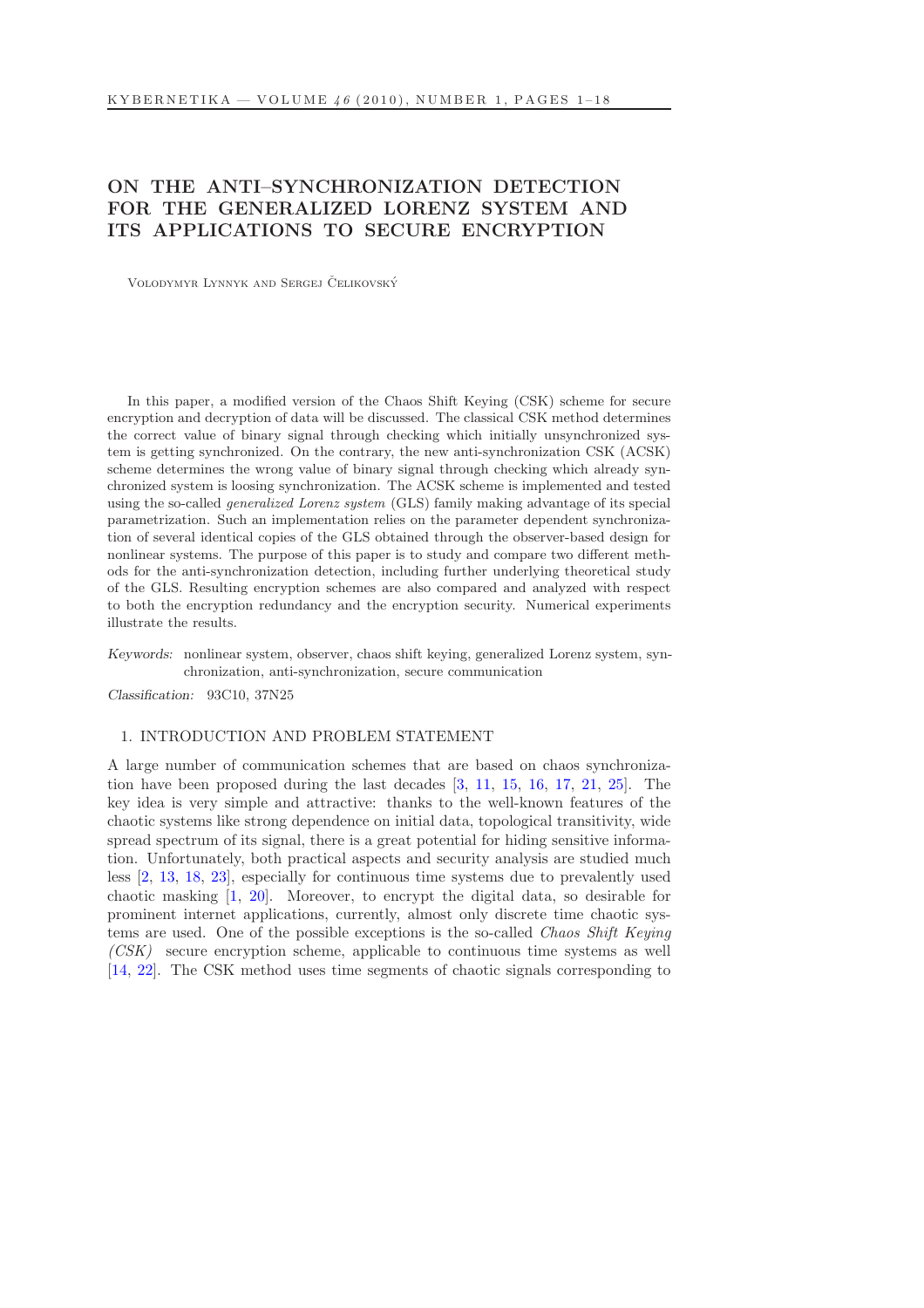# ON THE ANTI–SYNCHRONIZATION DETECTION FOR THE GENERALIZED LORENZ SYSTEM AND ITS APPLICATIONS TO SECURE ENCRYPTION

VOLODYMYR LYNNYK AND SERGEJ ČELIKOVSKÝ

In this paper, a modified version of the Chaos Shift Keying (CSK) scheme for secure encryption and decryption of data will be discussed. The classical CSK method determines the correct value of binary signal through checking which initially unsynchronized system is getting synchronized. On the contrary, the new anti-synchronization CSK (ACSK) scheme determines the wrong value of binary signal through checking which already synchronized system is loosing synchronization. The ACSK scheme is implemented and tested using the so-called generalized Lorenz system (GLS) family making advantage of its special parametrization. Such an implementation relies on the parameter dependent synchronization of several identical copies of the GLS obtained through the observer-based design for nonlinear systems. The purpose of this paper is to study and compare two different methods for the anti-synchronization detection, including further underlying theoretical study of the GLS. Resulting encryption schemes are also compared and analyzed with respect to both the encryption redundancy and the encryption security. Numerical experiments illustrate the results.

Keywords: nonlinear system, observer, chaos shift keying, generalized Lorenz system, synchronization, anti-synchronization, secure communication

Classification: 93C10, 37N25

### 1. INTRODUCTION AND PROBLEM STATEMENT

A large number of communication schemes that are based on chaos synchronization have been proposed during the last decades [\[3,](#page-16-0) [11,](#page-16-1) [15,](#page-17-0) [16,](#page-17-1) [17,](#page-17-2) [21,](#page-17-3) [25\]](#page-17-4). The key idea is very simple and attractive: thanks to the well-known features of the chaotic systems like strong dependence on initial data, topological transitivity, wide spread spectrum of its signal, there is a great potential for hiding sensitive information. Unfortunately, both practical aspects and security analysis are studied much less [\[2,](#page-16-2) [13,](#page-16-3) [18,](#page-17-5) [23\]](#page-17-6), especially for continuous time systems due to prevalently used chaotic masking [\[1,](#page-16-4) [20\]](#page-17-7). Moreover, to encrypt the digital data, so desirable for prominent internet applications, currently, almost only discrete time chaotic systems are used. One of the possible exceptions is the so-called *Chaos Shift Keying* (CSK) secure encryption scheme, applicable to continuous time systems as well [\[14,](#page-16-5) [22\]](#page-17-8). The CSK method uses time segments of chaotic signals corresponding to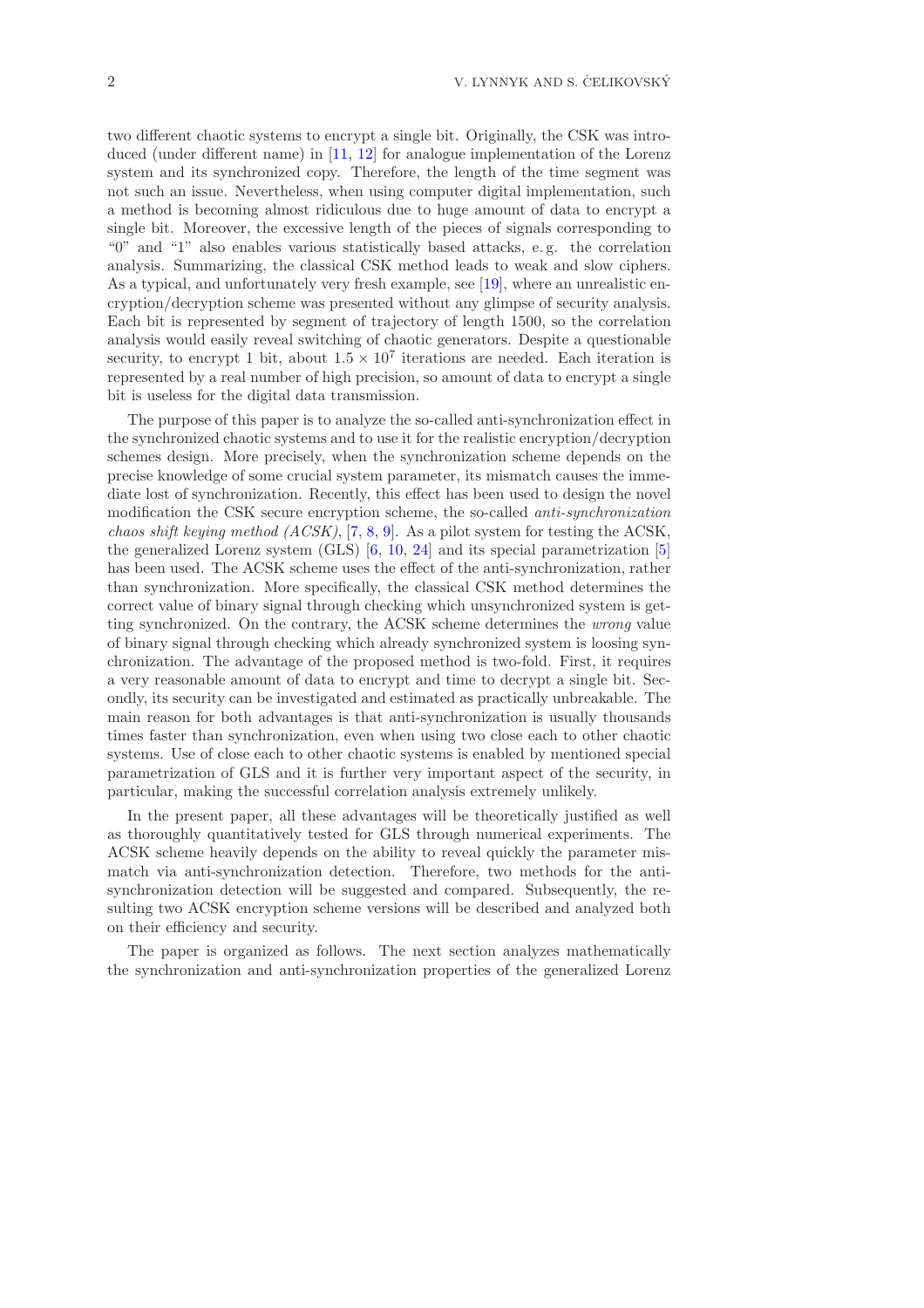two different chaotic systems to encrypt a single bit. Originally, the CSK was intro-duced (under different name) in [\[11,](#page-16-1) [12\]](#page-16-6) for analogue implementation of the Lorenz system and its synchronized copy. Therefore, the length of the time segment was not such an issue. Nevertheless, when using computer digital implementation, such a method is becoming almost ridiculous due to huge amount of data to encrypt a single bit. Moreover, the excessive length of the pieces of signals corresponding to "0" and "1" also enables various statistically based attacks, e. g. the correlation analysis. Summarizing, the classical CSK method leads to weak and slow ciphers. As a typical, and unfortunately very fresh example, see [\[19\]](#page-17-9), where an unrealistic encryption/decryption scheme was presented without any glimpse of security analysis. Each bit is represented by segment of trajectory of length 1500, so the correlation analysis would easily reveal switching of chaotic generators. Despite a questionable security, to encrypt 1 bit, about  $1.5 \times 10^7$  iterations are needed. Each iteration is represented by a real number of high precision, so amount of data to encrypt a single bit is useless for the digital data transmission.

The purpose of this paper is to analyze the so-called anti-synchronization effect in the synchronized chaotic systems and to use it for the realistic encryption/decryption schemes design. More precisely, when the synchronization scheme depends on the precise knowledge of some crucial system parameter, its mismatch causes the immediate lost of synchronization. Recently, this effect has been used to design the novel modification the CSK secure encryption scheme, the so-called *anti-synchronization* chaos shift keying method  $(ACSK)$ , [\[7,](#page-16-7) [8,](#page-16-8) [9\]](#page-16-9). As a pilot system for testing the ACSK, the generalized Lorenz system (GLS) [\[6,](#page-16-10) [10,](#page-16-11) [24\]](#page-17-10) and its special parametrization [\[5\]](#page-16-12) has been used. The ACSK scheme uses the effect of the anti-synchronization, rather than synchronization. More specifically, the classical CSK method determines the correct value of binary signal through checking which unsynchronized system is getting synchronized. On the contrary, the ACSK scheme determines the wrong value of binary signal through checking which already synchronized system is loosing synchronization. The advantage of the proposed method is two-fold. First, it requires a very reasonable amount of data to encrypt and time to decrypt a single bit. Secondly, its security can be investigated and estimated as practically unbreakable. The main reason for both advantages is that anti-synchronization is usually thousands times faster than synchronization, even when using two close each to other chaotic systems. Use of close each to other chaotic systems is enabled by mentioned special parametrization of GLS and it is further very important aspect of the security, in particular, making the successful correlation analysis extremely unlikely.

In the present paper, all these advantages will be theoretically justified as well as thoroughly quantitatively tested for GLS through numerical experiments. The ACSK scheme heavily depends on the ability to reveal quickly the parameter mismatch via anti-synchronization detection. Therefore, two methods for the antisynchronization detection will be suggested and compared. Subsequently, the resulting two ACSK encryption scheme versions will be described and analyzed both on their efficiency and security.

The paper is organized as follows. The next section analyzes mathematically the synchronization and anti-synchronization properties of the generalized Lorenz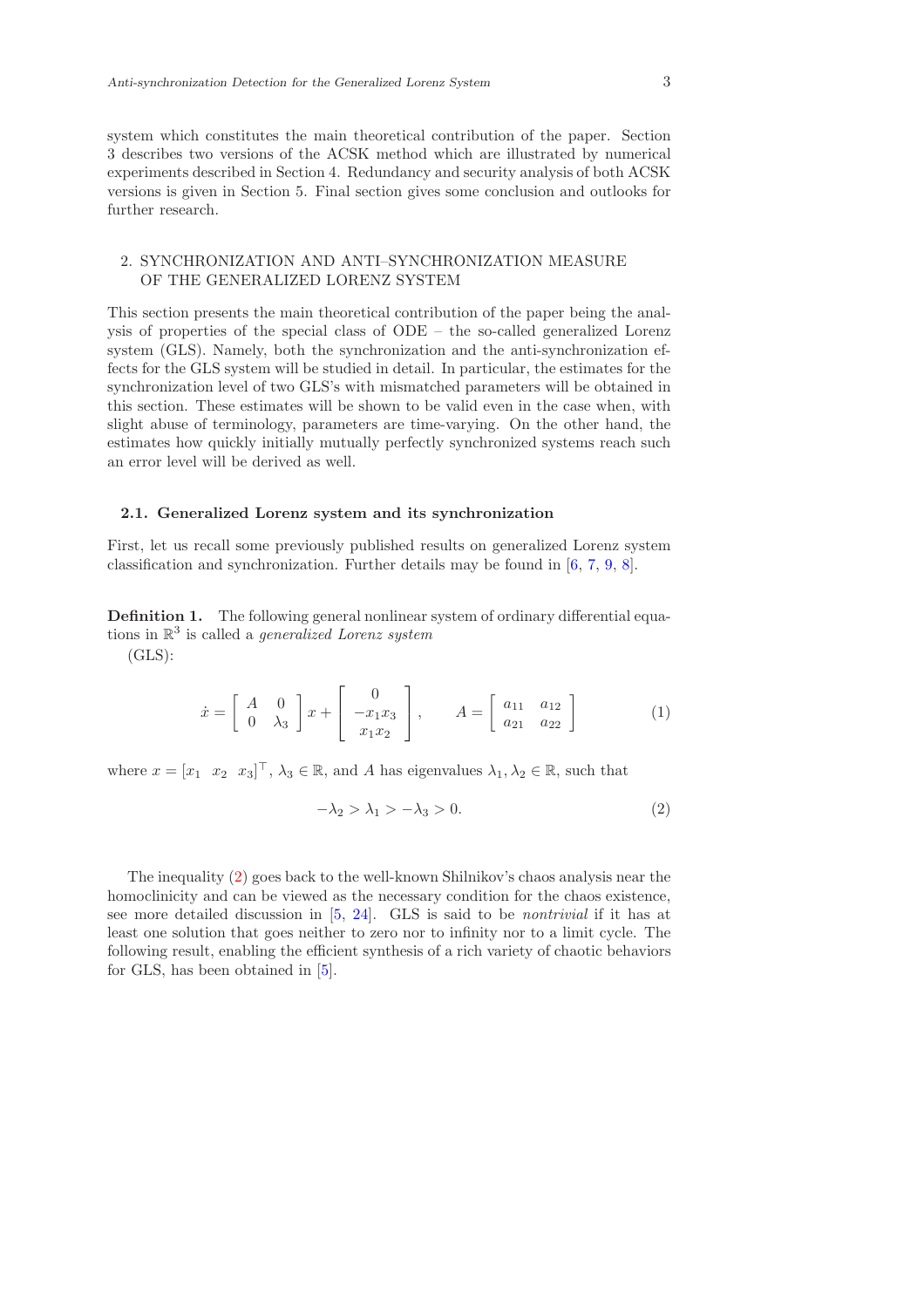system which constitutes the main theoretical contribution of the paper. Section 3 describes two versions of the ACSK method which are illustrated by numerical experiments described in Section 4. Redundancy and security analysis of both ACSK versions is given in Section 5. Final section gives some conclusion and outlooks for further research.

# 2. SYNCHRONIZATION AND ANTI–SYNCHRONIZATION MEASURE OF THE GENERALIZED LORENZ SYSTEM

This section presents the main theoretical contribution of the paper being the analysis of properties of the special class of ODE – the so-called generalized Lorenz system (GLS). Namely, both the synchronization and the anti-synchronization effects for the GLS system will be studied in detail. In particular, the estimates for the synchronization level of two GLS's with mismatched parameters will be obtained in this section. These estimates will be shown to be valid even in the case when, with slight abuse of terminology, parameters are time-varying. On the other hand, the estimates how quickly initially mutually perfectly synchronized systems reach such an error level will be derived as well.

#### 2.1. Generalized Lorenz system and its synchronization

First, let us recall some previously published results on generalized Lorenz system classification and synchronization. Further details may be found in [\[6,](#page-16-10) [7,](#page-16-7) [9,](#page-16-9) [8\]](#page-16-8).

<span id="page-2-1"></span>Definition 1. The following general nonlinear system of ordinary differential equations in  $\mathbb{R}^3$  is called a *generalized Lorenz system* 

(GLS):

$$
\dot{x} = \begin{bmatrix} A & 0 \\ 0 & \lambda_3 \end{bmatrix} x + \begin{bmatrix} 0 \\ -x_1 x_3 \\ x_1 x_2 \end{bmatrix}, \qquad A = \begin{bmatrix} a_{11} & a_{12} \\ a_{21} & a_{22} \end{bmatrix}
$$
 (1)

where  $x = [x_1 \ x_2 \ x_3]^\top$ ,  $\lambda_3 \in \mathbb{R}$ , and A has eigenvalues  $\lambda_1, \lambda_2 \in \mathbb{R}$ , such that

<span id="page-2-0"></span>
$$
-\lambda_2 > \lambda_1 > -\lambda_3 > 0. \tag{2}
$$

The inequality [\(2\)](#page-2-0) goes back to the well-known Shilnikov's chaos analysis near the homoclinicity and can be viewed as the necessary condition for the chaos existence, see more detailed discussion in  $[5, 24]$  $[5, 24]$ . GLS is said to be *nontrivial* if it has at least one solution that goes neither to zero nor to infinity nor to a limit cycle. The following result, enabling the efficient synthesis of a rich variety of chaotic behaviors for GLS, has been obtained in [\[5\]](#page-16-12).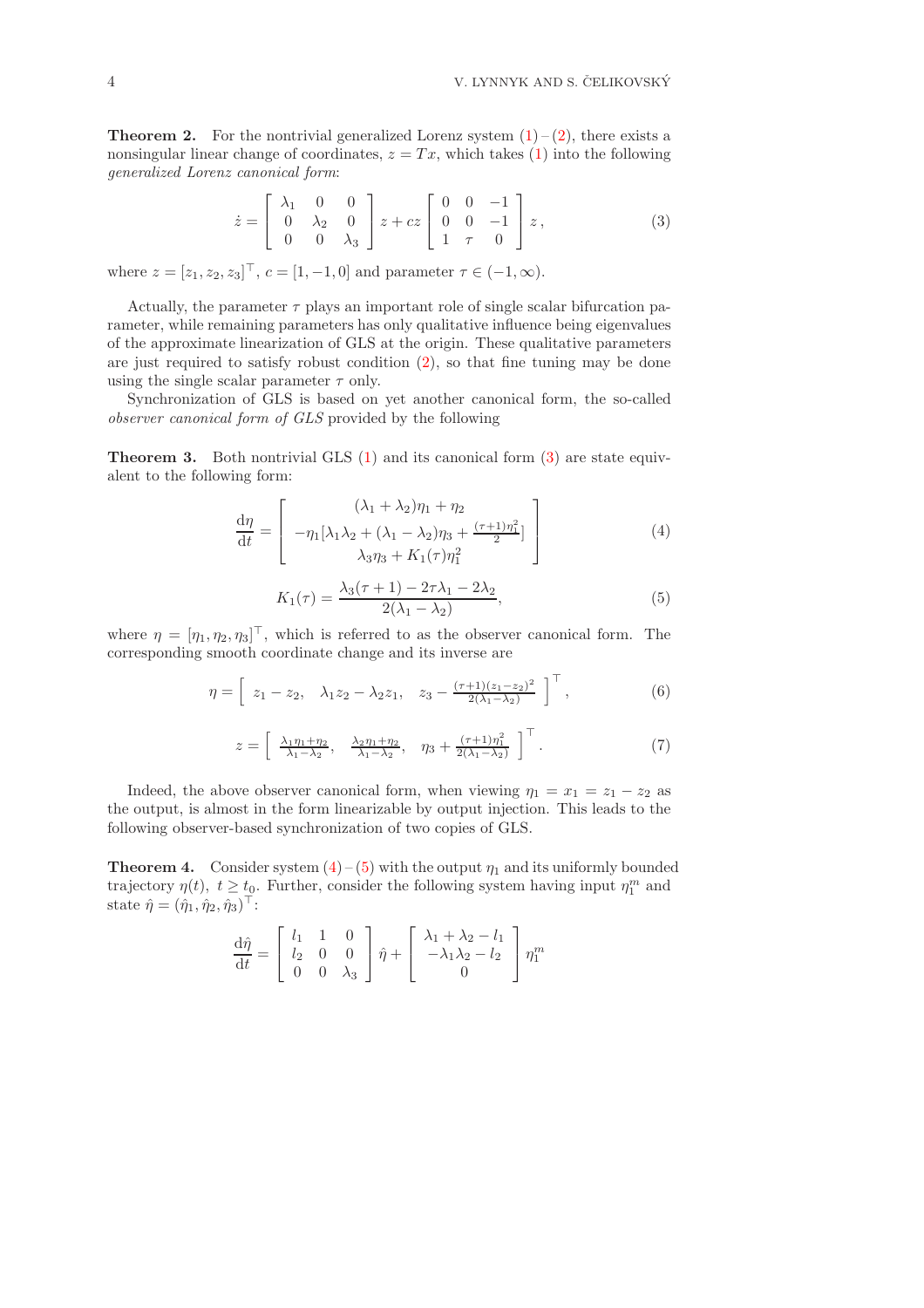**Theorem 2.** For the nontrivial generalized Lorenz system  $(1) - (2)$  $(1) - (2)$ , there exists a nonsingular linear change of coordinates,  $z = Tx$ , which takes [\(1\)](#page-2-1) into the following generalized Lorenz canonical form:

<span id="page-3-0"></span>
$$
\dot{z} = \begin{bmatrix} \lambda_1 & 0 & 0 \\ 0 & \lambda_2 & 0 \\ 0 & 0 & \lambda_3 \end{bmatrix} z + cz \begin{bmatrix} 0 & 0 & -1 \\ 0 & 0 & -1 \\ 1 & \tau & 0 \end{bmatrix} z, \tag{3}
$$

where  $z = [z_1, z_2, z_3]^\top$ ,  $c = [1, -1, 0]$  and parameter  $\tau \in (-1, \infty)$ .

Actually, the parameter  $\tau$  plays an important role of single scalar bifurcation parameter, while remaining parameters has only qualitative influence being eigenvalues of the approximate linearization of GLS at the origin. These qualitative parameters are just required to satisfy robust condition [\(2\)](#page-2-0), so that fine tuning may be done using the single scalar parameter  $\tau$  only.

Synchronization of GLS is based on yet another canonical form, the so-called observer canonical form of GLS provided by the following

Theorem 3. Both nontrivial GLS [\(1\)](#page-2-1) and its canonical form [\(3\)](#page-3-0) are state equivalent to the following form:

<span id="page-3-1"></span>
$$
\frac{\mathrm{d}\eta}{\mathrm{d}t} = \begin{bmatrix} (\lambda_1 + \lambda_2)\eta_1 + \eta_2\\ -\eta_1[\lambda_1\lambda_2 + (\lambda_1 - \lambda_2)\eta_3 + \frac{(\tau + 1)\eta_1^2}{2}] \\ \lambda_3\eta_3 + K_1(\tau)\eta_1^2 \end{bmatrix}
$$
(4)

$$
K_1(\tau) = \frac{\lambda_3(\tau + 1) - 2\tau\lambda_1 - 2\lambda_2}{2(\lambda_1 - \lambda_2)},
$$
\n(5)

<span id="page-3-2"></span>where  $\eta = [\eta_1, \eta_2, \eta_3]^\top$ , which is referred to as the observer canonical form. The corresponding smooth coordinate change and its inverse are

$$
\eta = \left[ z_1 - z_2, \quad \lambda_1 z_2 - \lambda_2 z_1, \quad z_3 - \frac{(\tau + 1)(z_1 - z_2)^2}{2(\lambda_1 - \lambda_2)} \right]^\top, \tag{6}
$$

$$
z = \left[\begin{array}{cc} \frac{\lambda_1 \eta_1 + \eta_2}{\lambda_1 - \lambda_2}, & \frac{\lambda_2 \eta_1 + \eta_2}{\lambda_1 - \lambda_2}, & \eta_3 + \frac{(\tau + 1)\eta_1^2}{2(\lambda_1 - \lambda_2)} \end{array}\right]^\top. \tag{7}
$$

Indeed, the above observer canonical form, when viewing  $\eta_1 = x_1 = z_1 - z_2$  as the output, is almost in the form linearizable by output injection. This leads to the following observer-based synchronization of two copies of GLS.

**Theorem 4.** Consider system  $(4)$  – [\(5\)](#page-3-2) with the output  $\eta_1$  and its uniformly bounded trajectory  $\eta(t)$ ,  $t \geq t_0$ . Further, consider the following system having input  $\eta_1^m$  and state  $\hat{\eta} = (\hat{\eta}_1, \hat{\eta}_2, \hat{\eta}_3)^\top$ :

$$
\frac{d\hat{\eta}}{dt} = \begin{bmatrix} l_1 & 1 & 0 \\ l_2 & 0 & 0 \\ 0 & 0 & \lambda_3 \end{bmatrix} \hat{\eta} + \begin{bmatrix} \lambda_1 + \lambda_2 - l_1 \\ -\lambda_1 \lambda_2 - l_2 \\ 0 \end{bmatrix} \eta_1^m
$$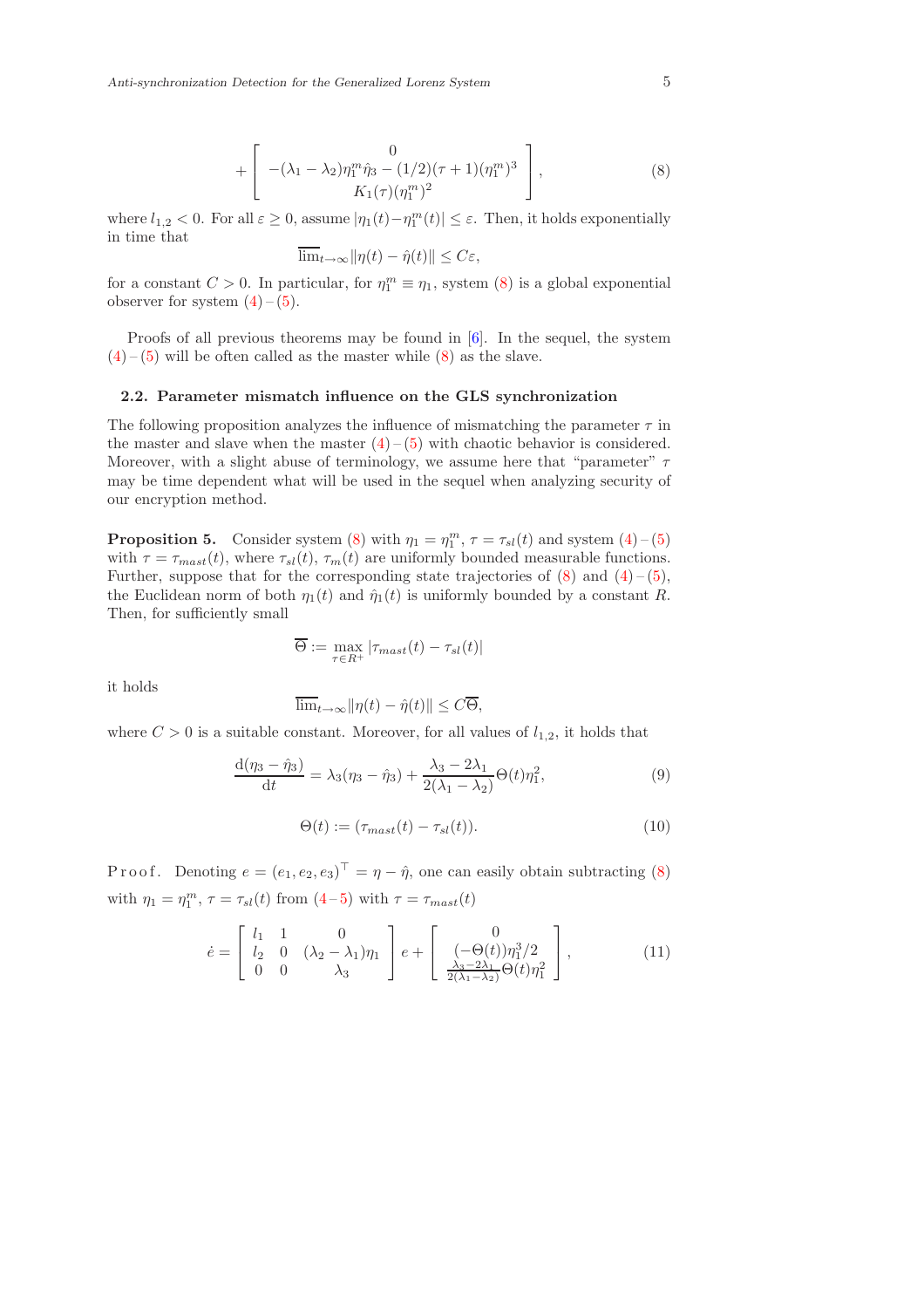+ 
$$
\begin{bmatrix} 0 \\ -(\lambda_1 - \lambda_2)\eta_1^m \hat{\eta}_3 - (1/2)(\tau + 1)(\eta_1^m)^3 \\ K_1(\tau)(\eta_1^m)^2 \end{bmatrix},
$$
 (8)

<span id="page-4-0"></span>where  $l_{1,2} < 0$ . For all  $\varepsilon \geq 0$ , assume  $|\eta_1(t) - \eta_1^m(t)| \leq \varepsilon$ . Then, it holds exponentially in time that

$$
\overline{\lim}_{t\to\infty} \|\eta(t)-\hat{\eta}(t)\| \leq C\varepsilon,
$$

for a constant  $C > 0$ . In particular, for  $\eta_1^m \equiv \eta_1$ , system [\(8\)](#page-4-0) is a global exponential observer for system  $(4)$  –  $(5)$ .

Proofs of all previous theorems may be found in [\[6\]](#page-16-10). In the sequel, the system  $(4) - (5)$  $(4) - (5)$  $(4) - (5)$  will be often called as the master while  $(8)$  as the slave.

### 2.2. Parameter mismatch influence on the GLS synchronization

The following proposition analyzes the influence of mismatching the parameter  $\tau$  in the master and slave when the master  $(4)$  –  $(5)$  with chaotic behavior is considered. Moreover, with a slight abuse of terminology, we assume here that "parameter"  $\tau$ may be time dependent what will be used in the sequel when analyzing security of our encryption method.

**Proposition 5.** Consider system [\(8\)](#page-4-0) with  $\eta_1 = \eta_1^m$ ,  $\tau = \tau_{sl}(t)$  and system [\(4\)](#page-3-1)-(5) with  $\tau = \tau_{mast}(t)$ , where  $\tau_{sl}(t)$ ,  $\tau_m(t)$  are uniformly bounded measurable functions. Further, suppose that for the corresponding state trajectories of  $(8)$  and  $(4)$  –  $(5)$ , the Euclidean norm of both  $\eta_1(t)$  and  $\hat{\eta}_1(t)$  is uniformly bounded by a constant R. Then, for sufficiently small

$$
\overline{\Theta} := \max_{\tau \in R^+} |\tau_{\text{max}}(t) - \tau_{sl}(t)|
$$

it holds

<span id="page-4-1"></span>
$$
\overline{\lim}_{t \to \infty} \|\eta(t) - \hat{\eta}(t)\| \le C\overline{\Theta},
$$

where  $C > 0$  is a suitable constant. Moreover, for all values of  $l_{1,2}$ , it holds that

$$
\frac{d(\eta_3 - \hat{\eta}_3)}{dt} = \lambda_3(\eta_3 - \hat{\eta}_3) + \frac{\lambda_3 - 2\lambda_1}{2(\lambda_1 - \lambda_2)}\Theta(t)\eta_1^2,
$$
\n(9)

<span id="page-4-2"></span>
$$
\Theta(t) := (\tau_{\text{max}}(t) - \tau_{\text{sl}}(t)). \tag{10}
$$

P r o o f. Denoting  $e = (e_1, e_2, e_3)^T = \eta - \hat{\eta}$ , one can easily obtain subtracting [\(8\)](#page-4-0) with  $\eta_1 = \eta_1^m$ ,  $\tau = \tau_{sl}(t)$  from  $(4-5)$  $(4-5)$  with  $\tau = \tau_{mask}(t)$ 

$$
\dot{e} = \begin{bmatrix} l_1 & 1 & 0 \\ l_2 & 0 & (\lambda_2 - \lambda_1)\eta_1 \\ 0 & 0 & \lambda_3 \end{bmatrix} e + \begin{bmatrix} 0 \\ (-\Theta(t))\eta_1^3/2 \\ \frac{\lambda_3 - 2\lambda_1}{2(\lambda_1 - \lambda_2)}\Theta(t)\eta_1^2 \end{bmatrix},
$$
(11)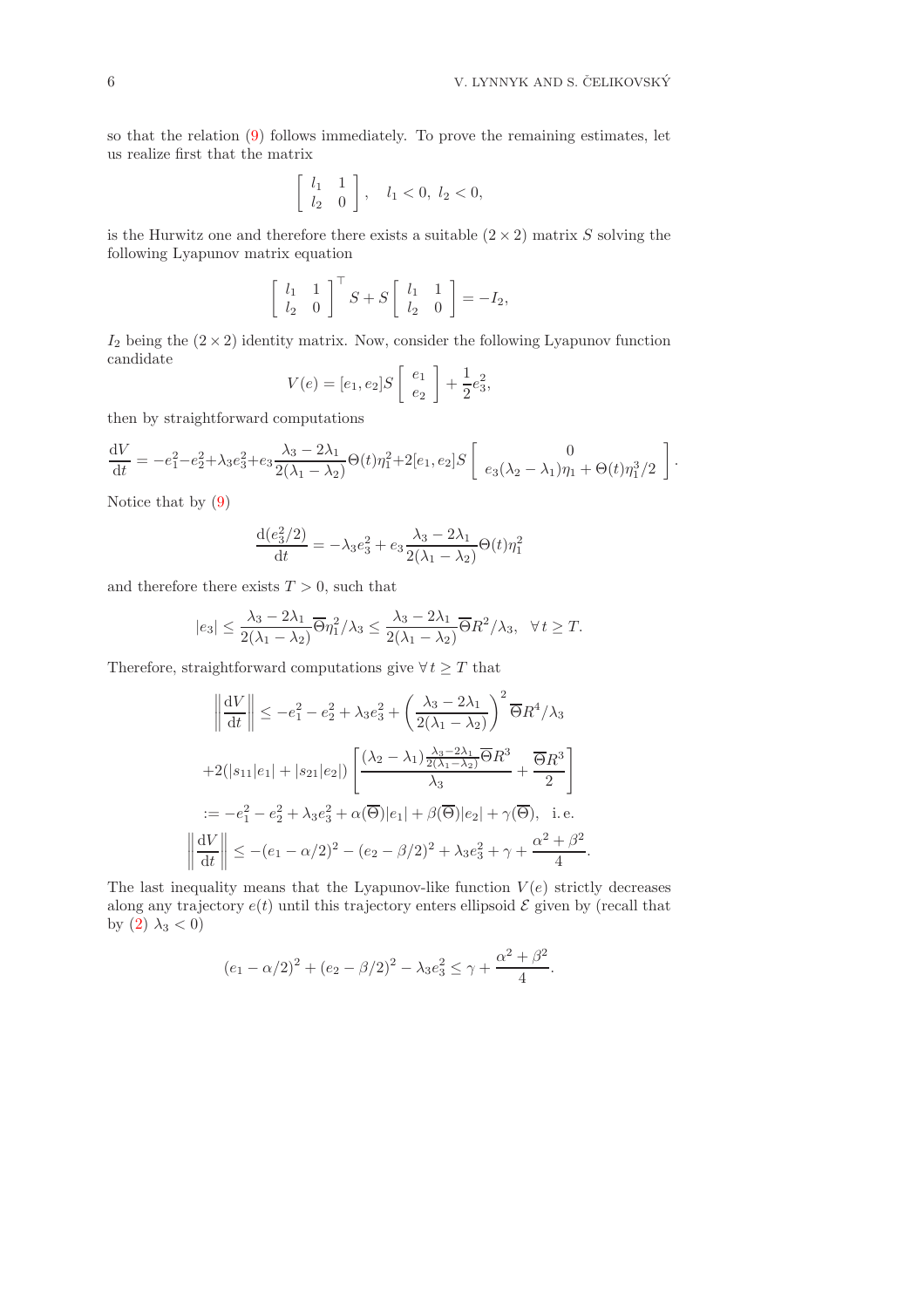so that the relation [\(9\)](#page-4-1) follows immediately. To prove the remaining estimates, let us realize first that the matrix

$$
\left[\begin{array}{cc} l_1 & 1 \\ l_2 & 0 \end{array}\right], \quad l_1 < 0, l_2 < 0,
$$

is the Hurwitz one and therefore there exists a suitable  $(2 \times 2)$  matrix S solving the following Lyapunov matrix equation

$$
\left[\begin{array}{cc} l_1 & 1 \\ l_2 & 0 \end{array}\right]^{\top} S + S \left[\begin{array}{cc} l_1 & 1 \\ l_2 & 0 \end{array}\right] = -I_2,
$$

 $I_2$  being the  $(2 \times 2)$  identity matrix. Now, consider the following Lyapunov function candidate

$$
V(e)=[e_1,e_2]S\left[\begin{array}{c}e_1\\e_2\end{array}\right]+\frac{1}{2}e_3^2,
$$

then by straightforward computations

$$
\frac{\mathrm{d}V}{\mathrm{d}t} = -e_1^2 - e_2^2 + \lambda_3 e_3^2 + e_3 \frac{\lambda_3 - 2\lambda_1}{2(\lambda_1 - \lambda_2)} \Theta(t) \eta_1^2 + 2[e_1, e_2] S \begin{bmatrix} 0 \\ e_3(\lambda_2 - \lambda_1) \eta_1 + \Theta(t) \eta_1^3/2 \end{bmatrix}.
$$

Notice that by [\(9\)](#page-4-1)

 $\begin{tabular}{|c|c|c|c|} \hline \rule{0pt}{2ex} \rule{0pt}{2ex} \rule{0pt}{2ex} \rule{0pt}{2ex} \rule{0pt}{2ex} \rule{0pt}{2ex} \rule{0pt}{2ex} \rule{0pt}{2ex} \rule{0pt}{2ex} \rule{0pt}{2ex} \rule{0pt}{2ex} \rule{0pt}{2ex} \rule{0pt}{2ex} \rule{0pt}{2ex} \rule{0pt}{2ex} \rule{0pt}{2ex} \rule{0pt}{2ex} \rule{0pt}{2ex} \rule{0pt}{2ex} \rule{0pt}{2ex} \rule{0pt}{2ex} \rule{0pt}{2ex} \rule{$ 

$$
\frac{d(e_3^2/2)}{dt} = -\lambda_3 e_3^2 + e_3 \frac{\lambda_3 - 2\lambda_1}{2(\lambda_1 - \lambda_2)} \Theta(t) \eta_1^2
$$

and therefore there exists  $T > 0$ , such that

$$
|e_3| \leq \frac{\lambda_3 - 2\lambda_1}{2(\lambda_1 - \lambda_2)} \overline{\Theta} \eta_1^2 / \lambda_3 \leq \frac{\lambda_3 - 2\lambda_1}{2(\lambda_1 - \lambda_2)} \overline{\Theta} R^2 / \lambda_3, \quad \forall t \geq T.
$$

Therefore, straightforward computations give  $\forall t \geq T$  that

$$
\left\| \frac{dV}{dt} \right\| \le -e_1^2 - e_2^2 + \lambda_3 e_3^2 + \left( \frac{\lambda_3 - 2\lambda_1}{2(\lambda_1 - \lambda_2)} \right)^2 \overline{\Theta} R^4 / \lambda_3
$$
  
+2(|s\_{11}|e\_1| + |s\_{21}|e\_2|)  $\left[ \frac{(\lambda_2 - \lambda_1) \frac{\lambda_3 - 2\lambda_1}{2(\lambda_1 - \lambda_2)} \overline{\Theta} R^3}{\lambda_3} + \frac{\overline{\Theta} R^3}{2} \right]$   
:=  $-e_1^2 - e_2^2 + \lambda_3 e_3^2 + \alpha(\overline{\Theta})|e_1| + \beta(\overline{\Theta})|e_2| + \gamma(\overline{\Theta}), \text{ i.e.}$   

$$
\left\| \frac{dV}{dt} \right\| \le -(e_1 - \alpha/2)^2 - (e_2 - \beta/2)^2 + \lambda_3 e_3^2 + \gamma + \frac{\alpha^2 + \beta^2}{4}.
$$

The last inequality means that the Lyapunov-like function  $V(e)$  strictly decreases along any trajectory  $e(t)$  until this trajectory enters ellipsoid  $\mathcal E$  given by (recall that by  $(2)$   $\lambda_3 < 0$ )

$$
(e_1 - \alpha/2)^2 + (e_2 - \beta/2)^2 - \lambda_3 e_3^2 \le \gamma + \frac{\alpha^2 + \beta^2}{4}.
$$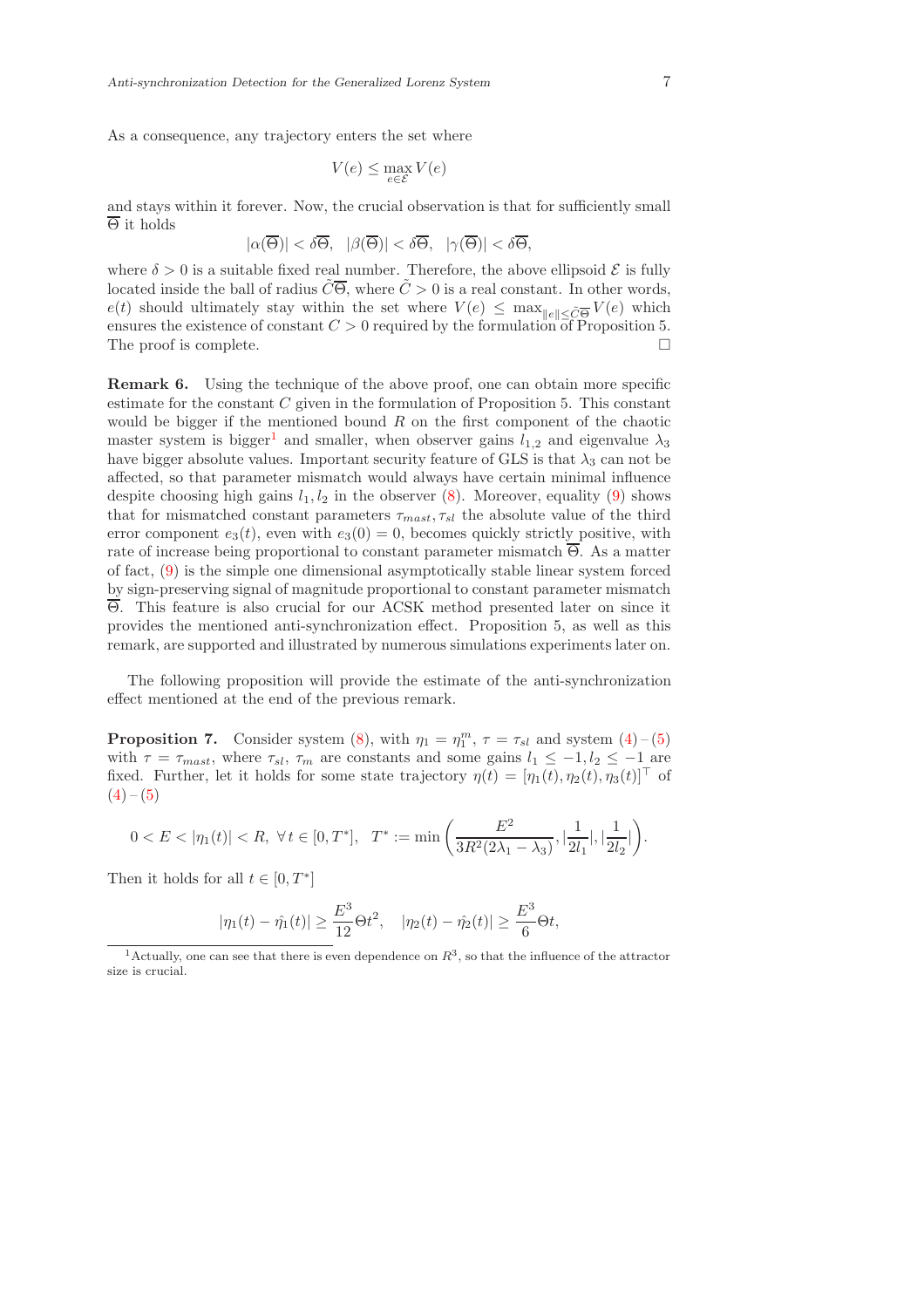As a consequence, any trajectory enters the set where

$$
V(e) \le \max_{e \in \mathcal{E}} V(e)
$$

and stays within it forever. Now, the crucial observation is that for sufficiently small  $\overline{\Theta}$  it holds

$$
|\alpha(\overline{\Theta})| < \delta\overline{\Theta}, \quad |\beta(\overline{\Theta})| < \delta\overline{\Theta}, \quad |\gamma(\overline{\Theta})| < \delta\overline{\Theta},
$$

where  $\delta > 0$  is a suitable fixed real number. Therefore, the above ellipsoid  $\mathcal E$  is fully located inside the ball of radius  $\tilde{C}\overline{\Theta}$ , where  $\tilde{C} > 0$  is a real constant. In other words,  $e(t)$  should ultimately stay within the set where  $V(e) \leq \max_{\|e\| \leq \tilde{C}\Theta} V(e)$  which ensures the existence of constant  $C > 0$  required by the formulation of Proposition 5. The proof is complete.  $\Box$ 

Remark 6. Using the technique of the above proof, one can obtain more specific estimate for the constant  $C$  given in the formulation of Proposition 5. This constant would be bigger if the mentioned bound  $R$  on the first component of the chaotic master system is bigger<sup>[1](#page-6-0)</sup> and smaller, when observer gains  $l_{1,2}$  and eigenvalue  $\lambda_3$ have bigger absolute values. Important security feature of GLS is that  $\lambda_3$  can not be affected, so that parameter mismatch would always have certain minimal influence despite choosing high gains  $l_1, l_2$  in the observer [\(8\)](#page-4-0). Moreover, equality [\(9\)](#page-4-1) shows that for mismatched constant parameters  $\tau_{mast}, \tau_{sl}$  the absolute value of the third error component  $e_3(t)$ , even with  $e_3(0) = 0$ , becomes quickly strictly positive, with rate of increase being proportional to constant parameter mismatch  $\overline{\Theta}$ . As a matter of fact, [\(9\)](#page-4-1) is the simple one dimensional asymptotically stable linear system forced by sign-preserving signal of magnitude proportional to constant parameter mismatch Θ. This feature is also crucial for our ACSK method presented later on since it provides the mentioned anti-synchronization effect. Proposition 5, as well as this remark, are supported and illustrated by numerous simulations experiments later on.

The following proposition will provide the estimate of the anti-synchronization effect mentioned at the end of the previous remark.

**Proposition 7.** Consider system [\(8\)](#page-4-0), with  $\eta_1 = \eta_1^m$ ,  $\tau = \tau_{sl}$  and system [\(4\)](#page-3-1)-(5) with  $\tau = \tau_{mask}$ , where  $\tau_{sl}$ ,  $\tau_m$  are constants and some gains  $l_1 \leq -1, l_2 \leq -1$  are fixed. Further, let it holds for some state trajectory  $\eta(t) = [\eta_1(t), \eta_2(t), \eta_3(t)]^\top$  of  $(4) - (5)$  $(4) - (5)$  $(4) - (5)$ 

$$
0
$$

Then it holds for all  $t \in [0, T^*]$ 

$$
|\eta_1(t) - \hat{\eta_1}(t)| \ge \frac{E^3}{12} \Theta t^2
$$
,  $|\eta_2(t) - \hat{\eta_2}(t)| \ge \frac{E^3}{6} \Theta t$ ,

<span id="page-6-0"></span><sup>&</sup>lt;sup>1</sup> Actually, one can see that there is even dependence on  $R^3$ , so that the influence of the attractor size is crucial.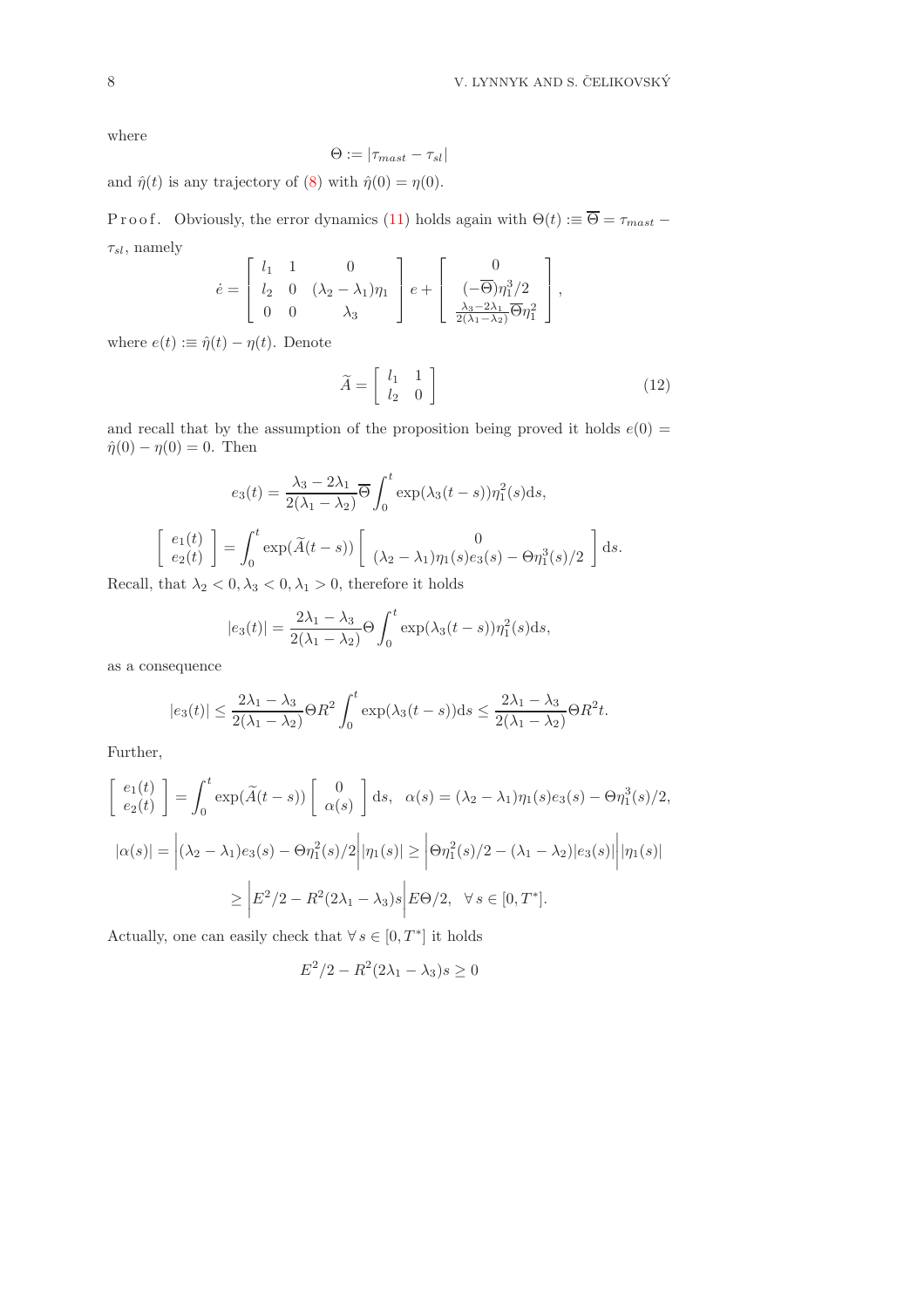where

$$
\Theta:=|\tau_{max}-\tau_{sl}|
$$

and  $\hat{\eta}(t)$  is any trajectory of [\(8\)](#page-4-0) with  $\hat{\eta}(0) = \eta(0)$ .

P r o o f. Obviously, the error dynamics [\(11\)](#page-4-2) holds again with  $\Theta(t) := \overline{\Theta} = \tau_{\text{max}} t$  $\tau_{sl}$ , namely  $\overline{a}$ 

<span id="page-7-0"></span>
$$
\dot{e} = \begin{bmatrix} l_1 & 1 & 0 \\ l_2 & 0 & (\lambda_2 - \lambda_1)\eta_1 \\ 0 & 0 & \lambda_3 \end{bmatrix} e + \begin{bmatrix} 0 \\ (-\overline{\Theta})\eta_1^3/2 \\ \frac{\lambda_3 - 2\lambda_1}{2(\lambda_1 - \lambda_2)}\overline{\Theta}\eta_1^2 \end{bmatrix},
$$

where  $e(t) := \hat{\eta}(t) - \eta(t)$ . Denote

$$
\widetilde{A} = \begin{bmatrix} l_1 & 1 \\ l_2 & 0 \end{bmatrix} \tag{12}
$$

and recall that by the assumption of the proposition being proved it holds  $e(0)$  =  $\hat{\eta}(0) - \eta(0) = 0$ . Then

$$
e_3(t) = \frac{\lambda_3 - 2\lambda_1}{2(\lambda_1 - \lambda_2)} \overline{\Theta} \int_0^t \exp(\lambda_3(t - s)) \eta_1^2(s) ds,
$$
  

$$
\begin{bmatrix} e_1(t) \\ e_2(t) \end{bmatrix} = \int_0^t \exp(\widetilde{A}(t - s)) \begin{bmatrix} 0 \\ (\lambda_2 - \lambda_1)\eta_1(s)e_3(s) - \Theta \eta_1^3(s)/2 \end{bmatrix} ds.
$$

Recall, that  $\lambda_2 < 0, \lambda_3 < 0, \lambda_1 > 0$ , therefore it holds

$$
|e_3(t)| = \frac{2\lambda_1 - \lambda_3}{2(\lambda_1 - \lambda_2)} \Theta \int_0^t \exp(\lambda_3(t-s)) \eta_1^2(s) \mathrm{d}s,
$$

as a consequence

$$
|e_3(t)| \le \frac{2\lambda_1 - \lambda_3}{2(\lambda_1 - \lambda_2)} \Theta R^2 \int_0^t \exp(\lambda_3(t-s)) ds \le \frac{2\lambda_1 - \lambda_3}{2(\lambda_1 - \lambda_2)} \Theta R^2 t.
$$

Further,

$$
\begin{aligned}\n\begin{bmatrix}\ne_1(t) \\
e_2(t)\n\end{bmatrix} &= \int_0^t \exp(\widetilde{A}(t-s)) \begin{bmatrix} 0 \\
\alpha(s) \end{bmatrix} ds, & \alpha(s) = (\lambda_2 - \lambda_1)\eta_1(s)e_3(s) - \Theta \eta_1^3(s)/2, \\
|\alpha(s)| &= |(\lambda_2 - \lambda_1)e_3(s) - \Theta \eta_1^2(s)/2| |\eta_1(s)| \ge |\Theta \eta_1^2(s)/2 - (\lambda_1 - \lambda_2)|e_3(s)| |\eta_1(s)| \\
&\ge |E^2/2 - R^2(2\lambda_1 - \lambda_3)s| E\Theta/2, & \forall s \in [0, T^*].\n\end{aligned}
$$

Actually, one can easily check that  $\forall s \in [0, T^*]$  it holds

$$
E^2/2 - R^2(2\lambda_1 - \lambda_3)s \ge 0
$$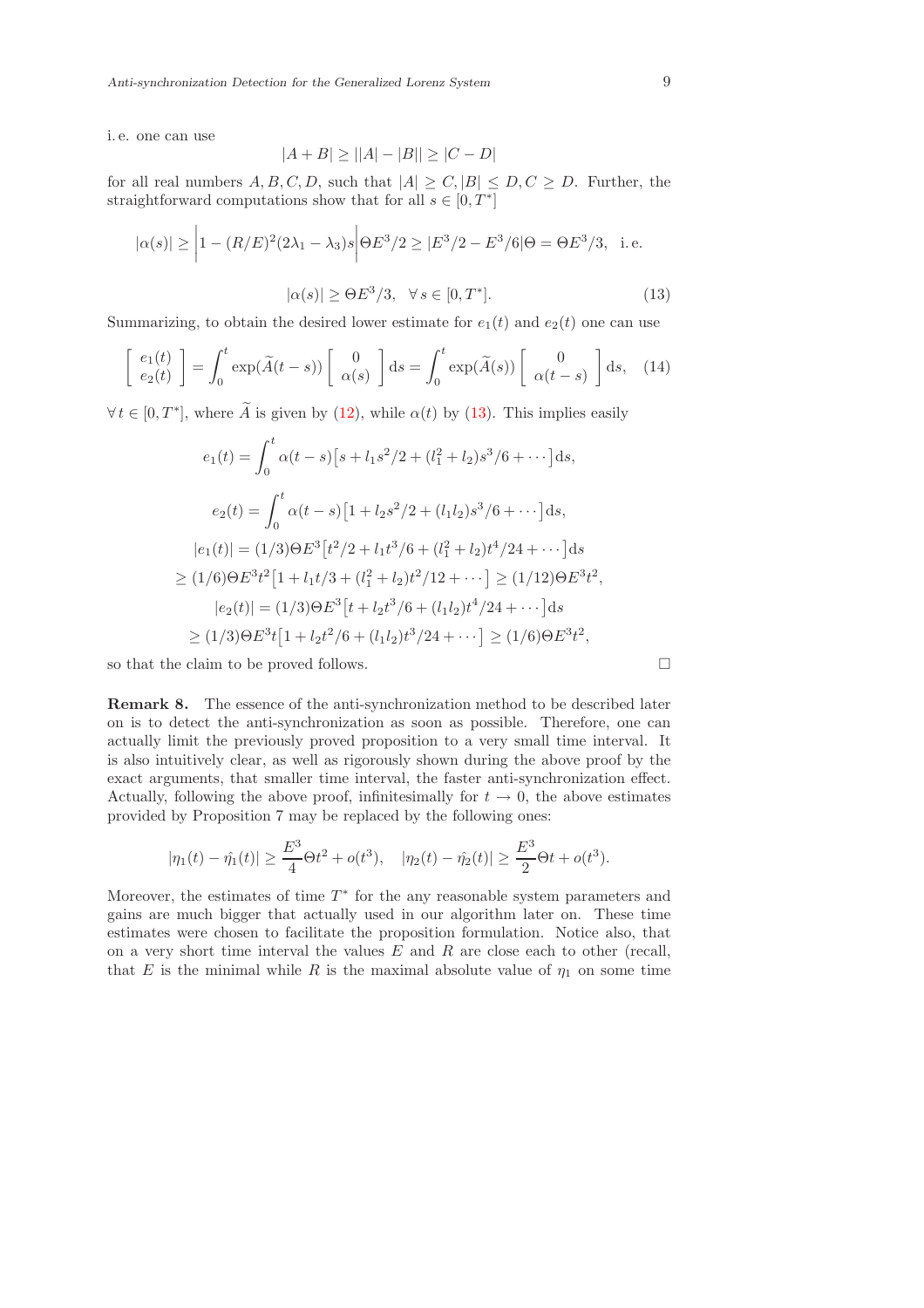i. e. one can use

$$
|A + B| \ge ||A| - |B|| \ge |C - D|
$$

for all real numbers  $A, B, C, D$ , such that  $|A| > C$ ,  $|B| < D, C > D$ . Further, the straightforward computations show that for all  $s \in [0, T^*]$ 

$$
|\alpha(s)| \ge \left| 1 - (R/E)^2 (2\lambda_1 - \lambda_3)s \right| \Theta E^3/2 \ge |E^3/2 - E^3/6| \Theta = \Theta E^3/3, \text{ i.e.}
$$

$$
|\alpha(s)| \ge \Theta E^3/3, \quad \forall s \in [0, T^*].
$$
(13)

<span id="page-8-0"></span>Summarizing, to obtain the desired lower estimate for  $e_1(t)$  and  $e_2(t)$  one can use

$$
\begin{bmatrix} e_1(t) \\ e_2(t) \end{bmatrix} = \int_0^t \exp(\widetilde{A}(t-s)) \begin{bmatrix} 0 \\ \alpha(s) \end{bmatrix} ds = \int_0^t \exp(\widetilde{A}(s)) \begin{bmatrix} 0 \\ \alpha(t-s) \end{bmatrix} ds, \quad (14)
$$

 $\forall t \in [0, T^*],$  where  $\widetilde{A}$  is given by [\(12\)](#page-7-0), while  $\alpha(t)$  by [\(13\)](#page-8-0). This implies easily

$$
e_1(t) = \int_0^t \alpha(t-s) \left[ s + l_1 s^2 / 2 + (l_1^2 + l_2) s^3 / 6 + \cdots \right] ds,
$$
  
\n
$$
e_2(t) = \int_0^t \alpha(t-s) \left[ 1 + l_2 s^2 / 2 + (l_1 l_2) s^3 / 6 + \cdots \right] ds,
$$
  
\n
$$
|e_1(t)| = (1/3) \Theta E^3 \left[ t^2 / 2 + l_1 t^3 / 6 + (l_1^2 + l_2) t^4 / 24 + \cdots \right] ds
$$
  
\n
$$
\geq (1/6) \Theta E^3 t^2 \left[ 1 + l_1 t / 3 + (l_1^2 + l_2) t^2 / 12 + \cdots \right] \geq (1/12) \Theta E^3 t^2,
$$
  
\n
$$
|e_2(t)| = (1/3) \Theta E^3 \left[ t + l_2 t^3 / 6 + (l_1 l_2) t^4 / 24 + \cdots \right] ds
$$
  
\n
$$
\geq (1/3) \Theta E^3 t \left[ 1 + l_2 t^2 / 6 + (l_1 l_2) t^3 / 24 + \cdots \right] \geq (1/6) \Theta E^3 t^2,
$$

so that the claim to be proved follows.  $\Box$ 

Remark 8. The essence of the anti-synchronization method to be described later on is to detect the anti-synchronization as soon as possible. Therefore, one can actually limit the previously proved proposition to a very small time interval. It is also intuitively clear, as well as rigorously shown during the above proof by the exact arguments, that smaller time interval, the faster anti-synchronization effect. Actually, following the above proof, infinitesimally for  $t \to 0$ , the above estimates provided by Proposition 7 may be replaced by the following ones:

$$
|\eta_1(t) - \hat{\eta_1}(t)| \ge \frac{E^3}{4}\Theta t^2 + o(t^3), \quad |\eta_2(t) - \hat{\eta_2}(t)| \ge \frac{E^3}{2}\Theta t + o(t^3).
$$

Moreover, the estimates of time  $T^*$  for the any reasonable system parameters and gains are much bigger that actually used in our algorithm later on. These time estimates were chosen to facilitate the proposition formulation. Notice also, that on a very short time interval the values  $E$  and  $R$  are close each to other (recall, that E is the minimal while R is the maximal absolute value of  $\eta_1$  on some time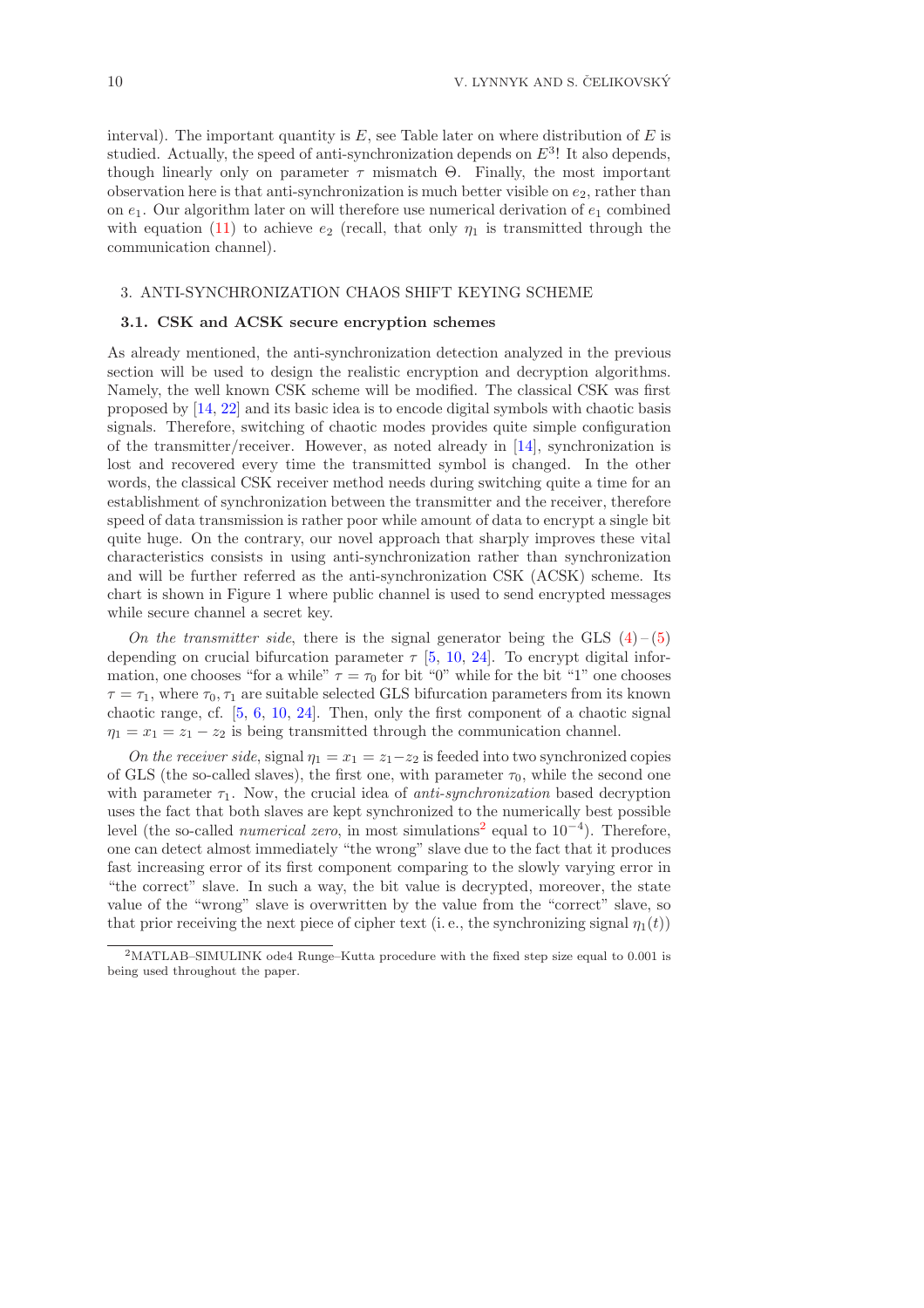interval). The important quantity is  $E$ , see Table later on where distribution of  $E$  is studied. Actually, the speed of anti-synchronization depends on  $E^3$ ! It also depends, though linearly only on parameter  $\tau$  mismatch  $\Theta$ . Finally, the most important observation here is that anti-synchronization is much better visible on  $e_2$ , rather than on  $e_1$ . Our algorithm later on will therefore use numerical derivation of  $e_1$  combined with equation [\(11\)](#page-4-2) to achieve  $e_2$  (recall, that only  $\eta_1$  is transmitted through the communication channel).

### 3. ANTI-SYNCHRONIZATION CHAOS SHIFT KEYING SCHEME

### 3.1. CSK and ACSK secure encryption schemes

As already mentioned, the anti-synchronization detection analyzed in the previous section will be used to design the realistic encryption and decryption algorithms. Namely, the well known CSK scheme will be modified. The classical CSK was first proposed by [\[14,](#page-16-5) [22\]](#page-17-8) and its basic idea is to encode digital symbols with chaotic basis signals. Therefore, switching of chaotic modes provides quite simple configuration of the transmitter/receiver. However, as noted already in [\[14\]](#page-16-5), synchronization is lost and recovered every time the transmitted symbol is changed. In the other words, the classical CSK receiver method needs during switching quite a time for an establishment of synchronization between the transmitter and the receiver, therefore speed of data transmission is rather poor while amount of data to encrypt a single bit quite huge. On the contrary, our novel approach that sharply improves these vital characteristics consists in using anti-synchronization rather than synchronization and will be further referred as the anti-synchronization CSK (ACSK) scheme. Its chart is shown in Figure 1 where public channel is used to send encrypted messages while secure channel a secret key.

On the transmitter side, there is the signal generator being the GLS  $(4)$  – [\(5\)](#page-3-2) depending on crucial bifurcation parameter  $\tau$  [\[5,](#page-16-12) [10,](#page-16-11) [24\]](#page-17-10). To encrypt digital information, one chooses "for a while"  $\tau = \tau_0$  for bit "0" while for the bit "1" one chooses  $\tau = \tau_1$ , where  $\tau_0$ ,  $\tau_1$  are suitable selected GLS bifurcation parameters from its known chaotic range, cf. [\[5,](#page-16-12) [6,](#page-16-10) [10,](#page-16-11) [24\]](#page-17-10). Then, only the first component of a chaotic signal  $\eta_1 = x_1 - x_2$  is being transmitted through the communication channel.

On the receiver side, signal  $\eta_1 = x_1 = z_1 - z_2$  is feeded into two synchronized copies of GLS (the so-called slaves), the first one, with parameter  $\tau_0$ , while the second one with parameter  $\tau_1$ . Now, the crucial idea of anti-synchronization based decryption uses the fact that both slaves are kept synchronized to the numerically best possible level (the so-called *numerical zero*, in most simulations<sup>[2](#page-9-0)</sup> equal to  $10^{-4}$ ). Therefore, one can detect almost immediately "the wrong" slave due to the fact that it produces fast increasing error of its first component comparing to the slowly varying error in "the correct" slave. In such a way, the bit value is decrypted, moreover, the state value of the "wrong" slave is overwritten by the value from the "correct" slave, so that prior receiving the next piece of cipher text (i.e., the synchronizing signal  $\eta_1(t)$ )

<span id="page-9-0"></span><sup>2</sup>MATLAB–SIMULINK ode4 Runge–Kutta procedure with the fixed step size equal to 0.001 is being used throughout the paper.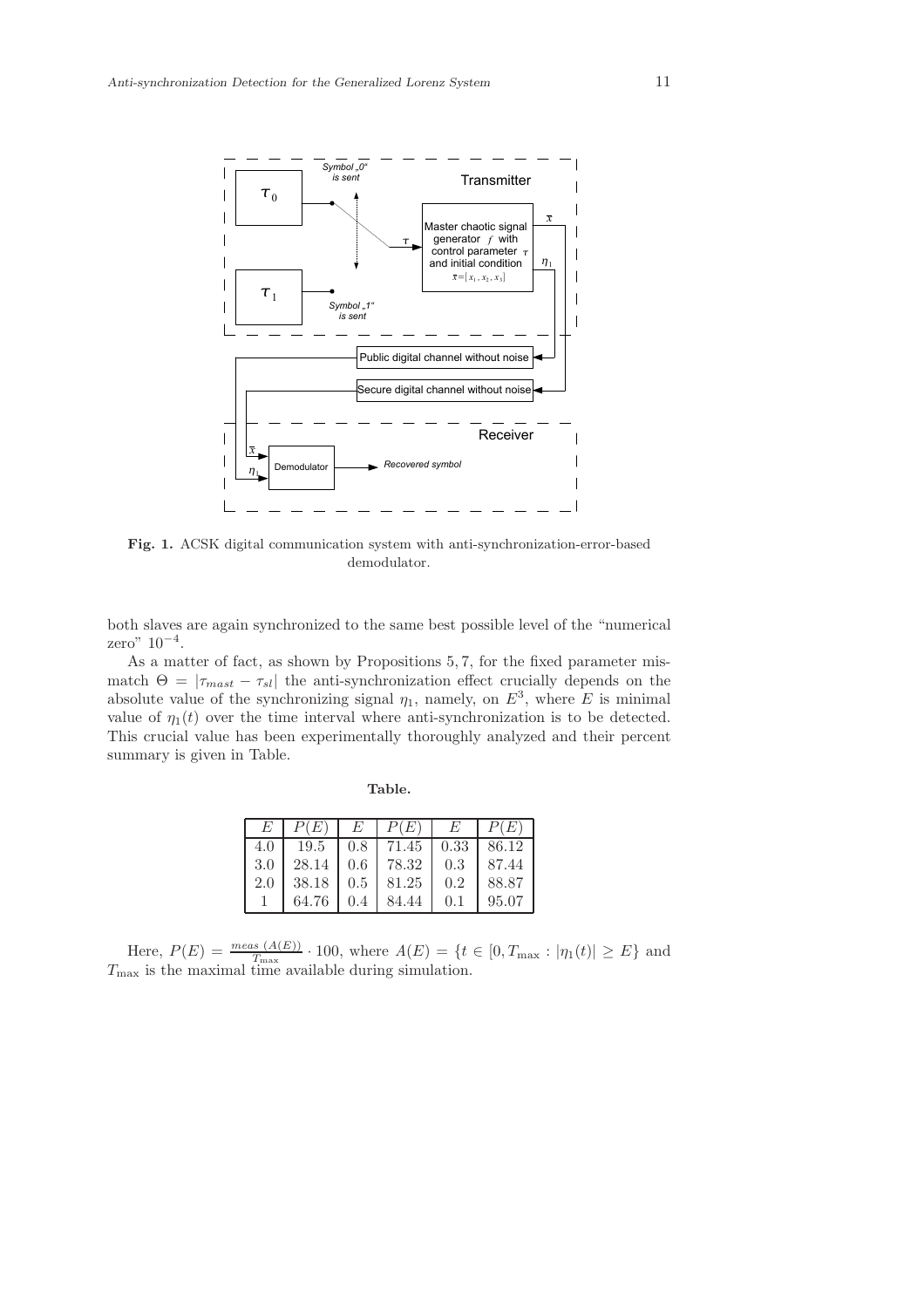

Fig. 1. ACSK digital communication system with anti-synchronization-error-based demodulator.

both slaves are again synchronized to the same best possible level of the "numerical zero" 10<sup>−</sup><sup>4</sup> .

As a matter of fact, as shown by Propositions 5, 7, for the fixed parameter mismatch  $\Theta = |\tau_{\text{max}} - \tau_{sl}|$  the anti-synchronization effect crucially depends on the absolute value of the synchronizing signal  $\eta_1$ , namely, on  $E^3$ , where E is minimal value of  $\eta_1(t)$  over the time interval where anti-synchronization is to be detected. This crucial value has been experimentally thoroughly analyzed and their percent summary is given in Table.

| E.    |                                           | $P(E)$   $E$   $P(E)$   $E$   $P(E)$ |     |       |
|-------|-------------------------------------------|--------------------------------------|-----|-------|
| 4.0 1 |                                           | $19.5$   0.8   71.45   0.33   86.12  |     |       |
|       | $3.0$   28.14   0.6   78.32   0.3   87.44 |                                      |     |       |
|       | $2.0$   38.18   0.5   81.25   0.2         |                                      |     | 88.87 |
|       |                                           | $64.76$   0.4   84.44                | 0.1 | 95.07 |

Table.

Here,  $P(E) = \frac{meas (A(E))}{T_{\text{max}}} \cdot 100$ , where  $A(E) = \{t \in [0, T_{\text{max}} : |\eta_1(t)| \ge E\}$  and  $T_{\text{max}}$  is the maximal time available during simulation.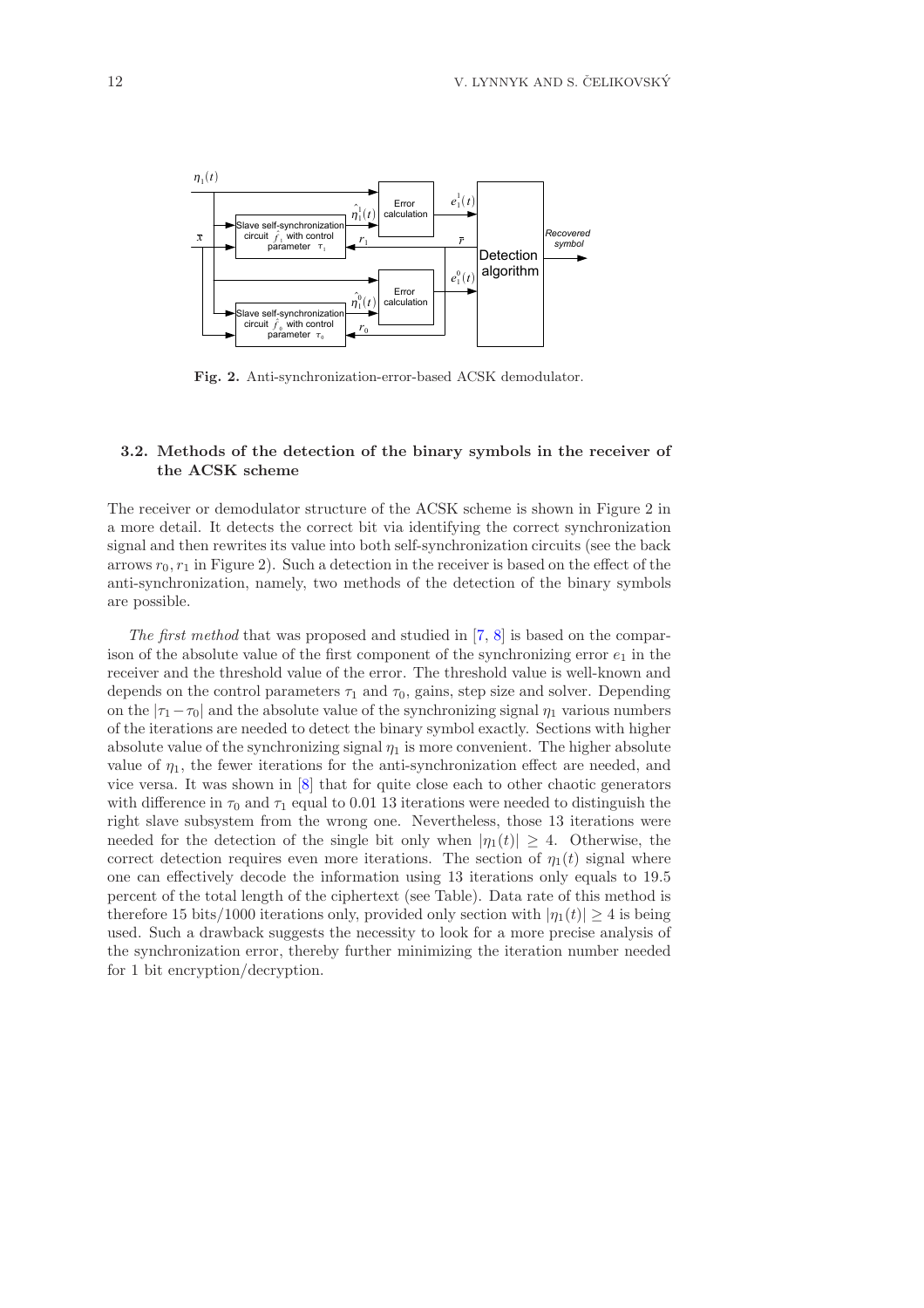

Fig. 2. Anti-synchronization-error-based ACSK demodulator.

# 3.2. Methods of the detection of the binary symbols in the receiver of the ACSK scheme

The receiver or demodulator structure of the ACSK scheme is shown in Figure 2 in a more detail. It detects the correct bit via identifying the correct synchronization signal and then rewrites its value into both self-synchronization circuits (see the back arrows  $r_0, r_1$  in Figure 2). Such a detection in the receiver is based on the effect of the anti-synchronization, namely, two methods of the detection of the binary symbols are possible.

The first method that was proposed and studied in [\[7,](#page-16-7) [8\]](#page-16-8) is based on the comparison of the absolute value of the first component of the synchronizing error  $e_1$  in the receiver and the threshold value of the error. The threshold value is well-known and depends on the control parameters  $\tau_1$  and  $\tau_0$ , gains, step size and solver. Depending on the  $|\tau_1-\tau_0|$  and the absolute value of the synchronizing signal  $\eta_1$  various numbers of the iterations are needed to detect the binary symbol exactly. Sections with higher absolute value of the synchronizing signal  $\eta_1$  is more convenient. The higher absolute value of  $\eta_1$ , the fewer iterations for the anti-synchronization effect are needed, and vice versa. It was shown in [\[8\]](#page-16-8) that for quite close each to other chaotic generators with difference in  $\tau_0$  and  $\tau_1$  equal to 0.01 13 iterations were needed to distinguish the right slave subsystem from the wrong one. Nevertheless, those 13 iterations were needed for the detection of the single bit only when  $|\eta_1(t)| \geq 4$ . Otherwise, the correct detection requires even more iterations. The section of  $\eta_1(t)$  signal where one can effectively decode the information using 13 iterations only equals to 19.5 percent of the total length of the ciphertext (see Table). Data rate of this method is therefore 15 bits/1000 iterations only, provided only section with  $|\eta_1(t)| \geq 4$  is being used. Such a drawback suggests the necessity to look for a more precise analysis of the synchronization error, thereby further minimizing the iteration number needed for 1 bit encryption/decryption.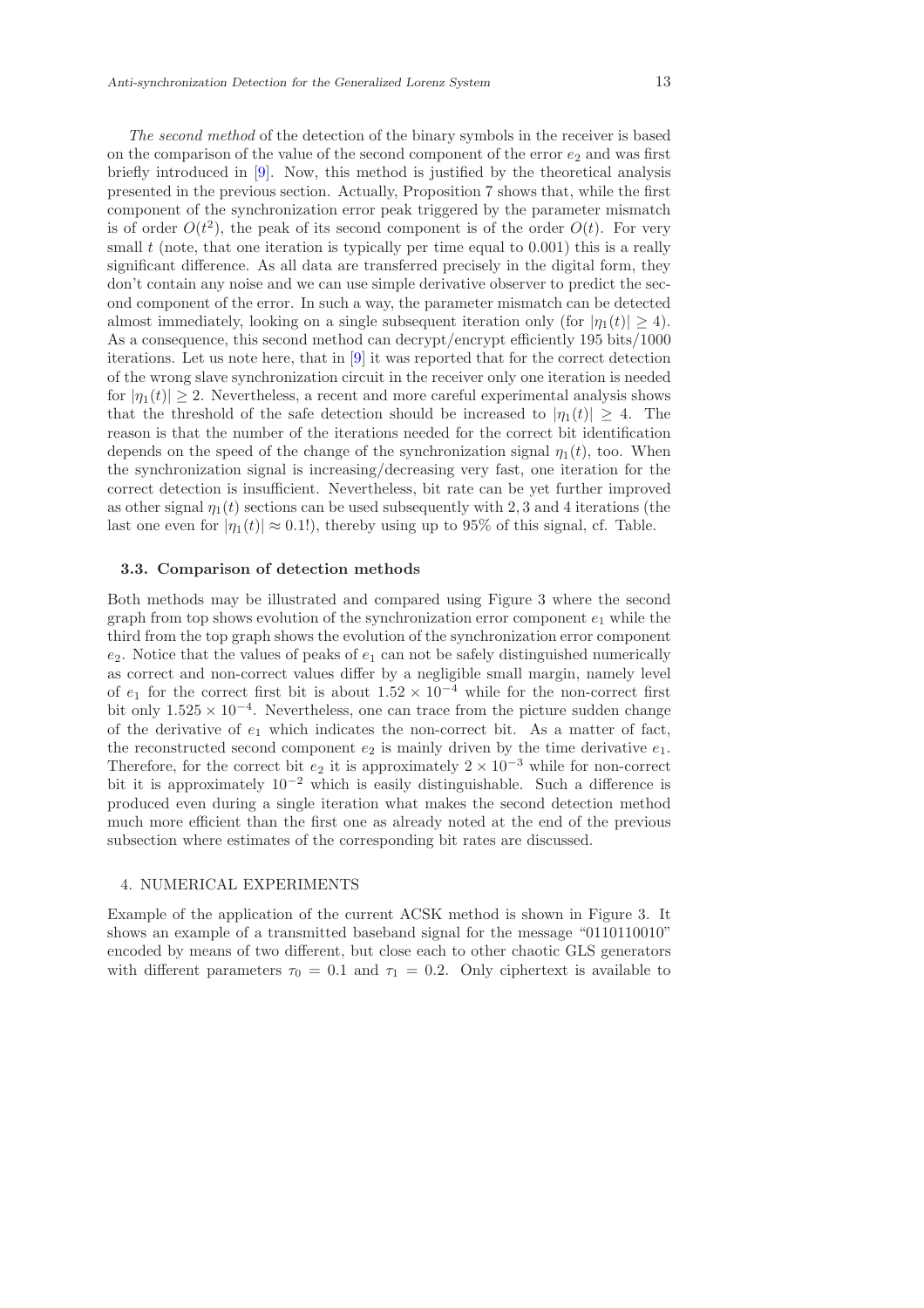The second method of the detection of the binary symbols in the receiver is based on the comparison of the value of the second component of the error  $e_2$  and was first briefly introduced in [\[9\]](#page-16-9). Now, this method is justified by the theoretical analysis presented in the previous section. Actually, Proposition 7 shows that, while the first component of the synchronization error peak triggered by the parameter mismatch is of order  $O(t^2)$ , the peak of its second component is of the order  $O(t)$ . For very small  $t$  (note, that one iteration is typically per time equal to 0.001) this is a really significant difference. As all data are transferred precisely in the digital form, they don't contain any noise and we can use simple derivative observer to predict the second component of the error. In such a way, the parameter mismatch can be detected almost immediately, looking on a single subsequent iteration only (for  $|\eta_1(t)| \geq 4$ ). As a consequence, this second method can decrypt/encrypt efficiently 195 bits/1000 iterations. Let us note here, that in [\[9\]](#page-16-9) it was reported that for the correct detection of the wrong slave synchronization circuit in the receiver only one iteration is needed for  $|\eta_1(t)| \geq 2$ . Nevertheless, a recent and more careful experimental analysis shows that the threshold of the safe detection should be increased to  $|\eta_1(t)| \geq 4$ . The reason is that the number of the iterations needed for the correct bit identification depends on the speed of the change of the synchronization signal  $\eta_1(t)$ , too. When the synchronization signal is increasing/decreasing very fast, one iteration for the correct detection is insufficient. Nevertheless, bit rate can be yet further improved as other signal  $\eta_1(t)$  sections can be used subsequently with 2, 3 and 4 iterations (the last one even for  $|\eta_1(t)| \approx 0.1!$ , thereby using up to 95% of this signal, cf. Table.

### 3.3. Comparison of detection methods

Both methods may be illustrated and compared using Figure 3 where the second graph from top shows evolution of the synchronization error component  $e_1$  while the third from the top graph shows the evolution of the synchronization error component  $e_2$ . Notice that the values of peaks of  $e_1$  can not be safely distinguished numerically as correct and non-correct values differ by a negligible small margin, namely level of  $e_1$  for the correct first bit is about  $1.52 \times 10^{-4}$  while for the non-correct first bit only  $1.525 \times 10^{-4}$ . Nevertheless, one can trace from the picture sudden change of the derivative of  $e_1$  which indicates the non-correct bit. As a matter of fact, the reconstructed second component  $e_2$  is mainly driven by the time derivative  $e_1$ . Therefore, for the correct bit  $e_2$  it is approximately  $2 \times 10^{-3}$  while for non-correct bit it is approximately  $10^{-2}$  which is easily distinguishable. Such a difference is produced even during a single iteration what makes the second detection method much more efficient than the first one as already noted at the end of the previous subsection where estimates of the corresponding bit rates are discussed.

#### 4. NUMERICAL EXPERIMENTS

Example of the application of the current ACSK method is shown in Figure 3. It shows an example of a transmitted baseband signal for the message "0110110010" encoded by means of two different, but close each to other chaotic GLS generators with different parameters  $\tau_0 = 0.1$  and  $\tau_1 = 0.2$ . Only ciphertext is available to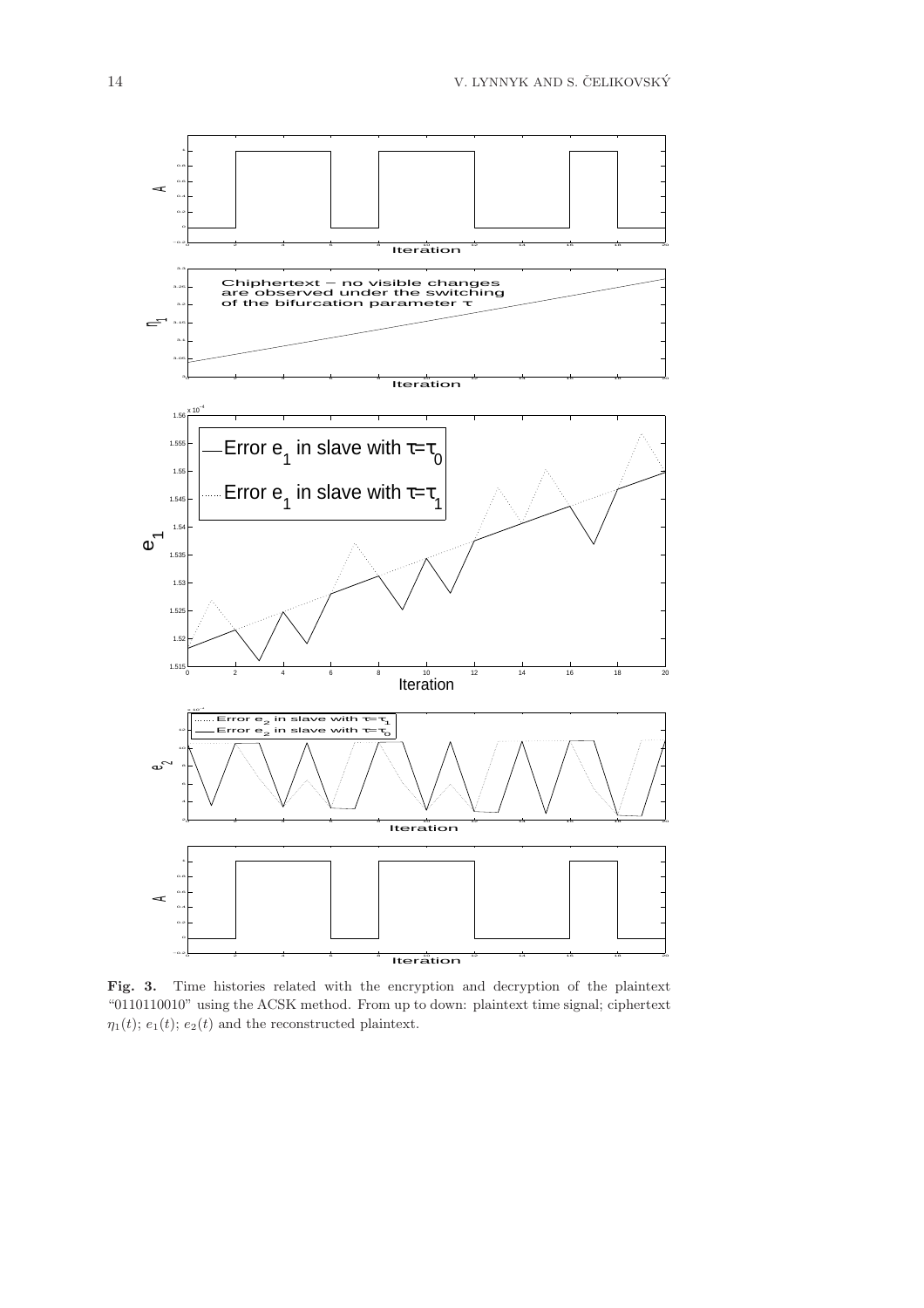

Fig. 3. Time histories related with the encryption and decryption of the plaintext "0110110010" using the ACSK method. From up to down: plaintext time signal; ciphertext  $\eta_1(t)$ ;  $e_1(t)$ ;  $e_2(t)$  and the reconstructed plaintext.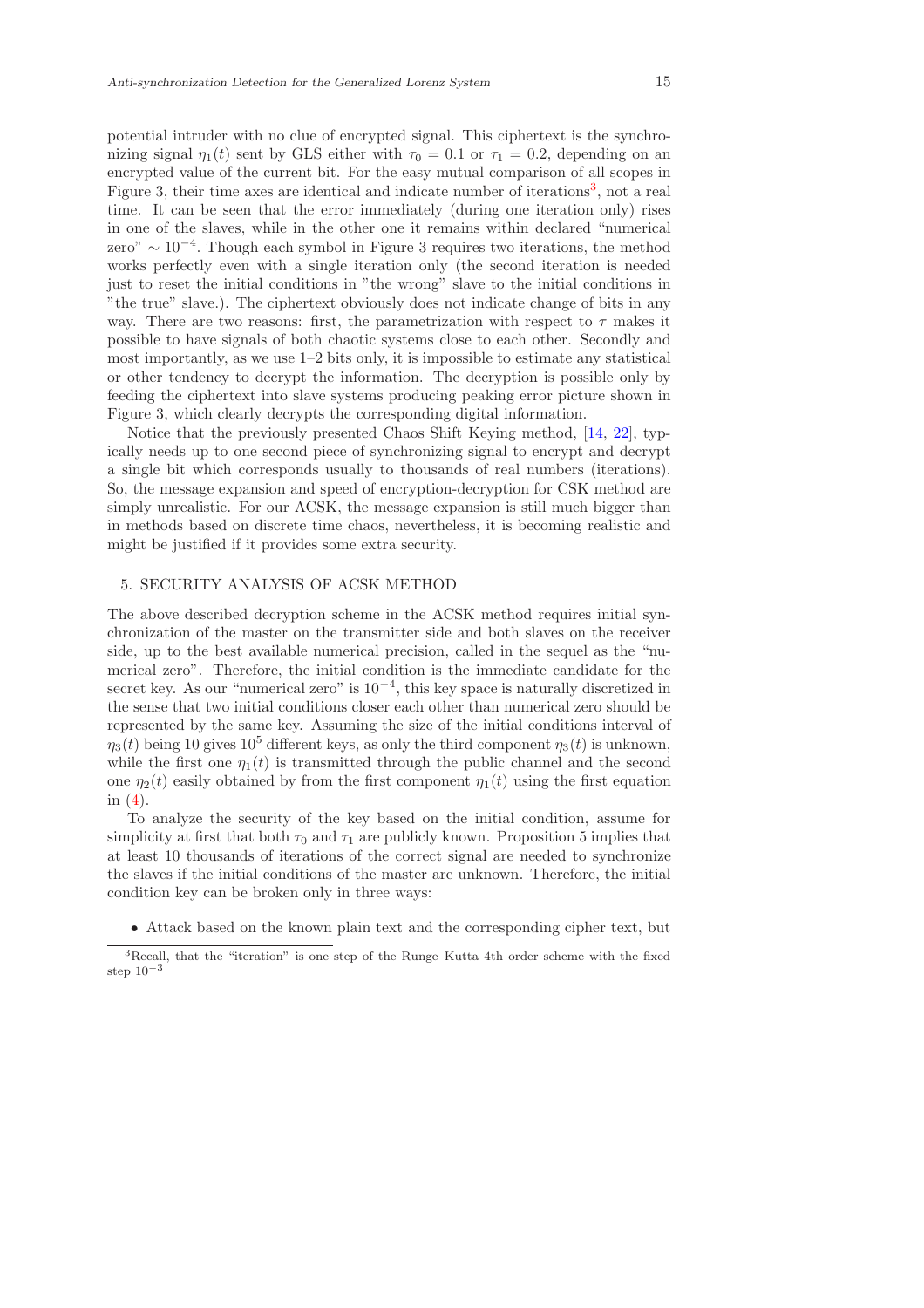potential intruder with no clue of encrypted signal. This ciphertext is the synchronizing signal  $\eta_1(t)$  sent by GLS either with  $\tau_0 = 0.1$  or  $\tau_1 = 0.2$ , depending on an encrypted value of the current bit. For the easy mutual comparison of all scopes in Figure [3](#page-14-0), their time axes are identical and indicate number of iterations<sup>3</sup>, not a real time. It can be seen that the error immediately (during one iteration only) rises in one of the slaves, while in the other one it remains within declared "numerical zero" ∼ 10<sup>−</sup><sup>4</sup> . Though each symbol in Figure 3 requires two iterations, the method works perfectly even with a single iteration only (the second iteration is needed just to reset the initial conditions in "the wrong" slave to the initial conditions in "the true" slave.). The ciphertext obviously does not indicate change of bits in any way. There are two reasons: first, the parametrization with respect to  $\tau$  makes it possible to have signals of both chaotic systems close to each other. Secondly and most importantly, as we use  $1-2$  bits only, it is impossible to estimate any statistical or other tendency to decrypt the information. The decryption is possible only by feeding the ciphertext into slave systems producing peaking error picture shown in Figure 3, which clearly decrypts the corresponding digital information.

Notice that the previously presented Chaos Shift Keying method, [\[14,](#page-16-5) [22\]](#page-17-8), typically needs up to one second piece of synchronizing signal to encrypt and decrypt a single bit which corresponds usually to thousands of real numbers (iterations). So, the message expansion and speed of encryption-decryption for CSK method are simply unrealistic. For our ACSK, the message expansion is still much bigger than in methods based on discrete time chaos, nevertheless, it is becoming realistic and might be justified if it provides some extra security.

# 5. SECURITY ANALYSIS OF ACSK METHOD

The above described decryption scheme in the ACSK method requires initial synchronization of the master on the transmitter side and both slaves on the receiver side, up to the best available numerical precision, called in the sequel as the "numerical zero". Therefore, the initial condition is the immediate candidate for the secret key. As our "numerical zero" is  $10^{-4}$ , this key space is naturally discretized in the sense that two initial conditions closer each other than numerical zero should be represented by the same key. Assuming the size of the initial conditions interval of  $\eta_3(t)$  being 10 gives 10<sup>5</sup> different keys, as only the third component  $\eta_3(t)$  is unknown, while the first one  $\eta_1(t)$  is transmitted through the public channel and the second one  $\eta_2(t)$  easily obtained by from the first component  $\eta_1(t)$  using the first equation in [\(4\)](#page-3-1).

To analyze the security of the key based on the initial condition, assume for simplicity at first that both  $\tau_0$  and  $\tau_1$  are publicly known. Proposition 5 implies that at least 10 thousands of iterations of the correct signal are needed to synchronize the slaves if the initial conditions of the master are unknown. Therefore, the initial condition key can be broken only in three ways:

• Attack based on the known plain text and the corresponding cipher text, but

<span id="page-14-0"></span><sup>3</sup>Recall, that the "iteration" is one step of the Runge–Kutta 4th order scheme with the fixed step  $10^{-3}$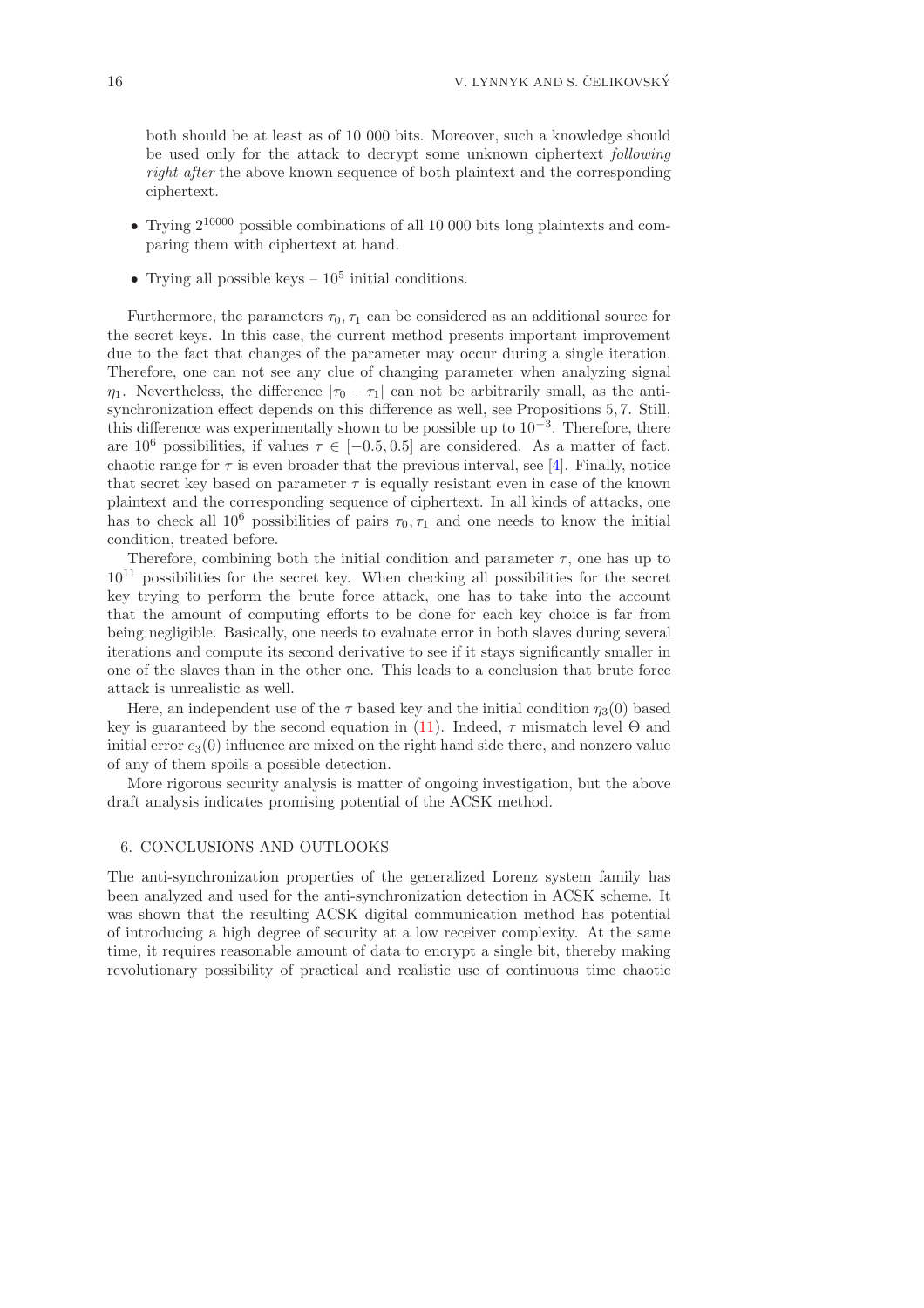both should be at least as of 10 000 bits. Moreover, such a knowledge should be used only for the attack to decrypt some unknown ciphertext following right after the above known sequence of both plaintext and the corresponding ciphertext.

- Trying  $2^{10000}$  possible combinations of all 10 000 bits long plaintexts and comparing them with ciphertext at hand.
- Trying all possible keys  $-10^5$  initial conditions.

Furthermore, the parameters  $\tau_0$ ,  $\tau_1$  can be considered as an additional source for the secret keys. In this case, the current method presents important improvement due to the fact that changes of the parameter may occur during a single iteration. Therefore, one can not see any clue of changing parameter when analyzing signal  $\eta_1$ . Nevertheless, the difference  $|\tau_0 - \tau_1|$  can not be arbitrarily small, as the antisynchronization effect depends on this difference as well, see Propositions 5, 7. Still, this difference was experimentally shown to be possible up to  $10^{-3}$ . Therefore, there are  $10^6$  possibilities, if values  $\tau \in [-0.5, 0.5]$  are considered. As a matter of fact, chaotic range for  $\tau$  is even broader that the previous interval, see [\[4\]](#page-16-13). Finally, notice that secret key based on parameter  $\tau$  is equally resistant even in case of the known plaintext and the corresponding sequence of ciphertext. In all kinds of attacks, one has to check all  $10^6$  possibilities of pairs  $\tau_0, \tau_1$  and one needs to know the initial condition, treated before.

Therefore, combining both the initial condition and parameter  $\tau$ , one has up to  $10^{11}$  possibilities for the secret key. When checking all possibilities for the secret key trying to perform the brute force attack, one has to take into the account that the amount of computing efforts to be done for each key choice is far from being negligible. Basically, one needs to evaluate error in both slaves during several iterations and compute its second derivative to see if it stays significantly smaller in one of the slaves than in the other one. This leads to a conclusion that brute force attack is unrealistic as well.

Here, an independent use of the  $\tau$  based key and the initial condition  $\eta_3(0)$  based key is guaranteed by the second equation in [\(11\)](#page-4-2). Indeed,  $\tau$  mismatch level  $\Theta$  and initial error  $e_3(0)$  influence are mixed on the right hand side there, and nonzero value of any of them spoils a possible detection.

More rigorous security analysis is matter of ongoing investigation, but the above draft analysis indicates promising potential of the ACSK method.

# 6. CONCLUSIONS AND OUTLOOKS

The anti-synchronization properties of the generalized Lorenz system family has been analyzed and used for the anti-synchronization detection in ACSK scheme. It was shown that the resulting ACSK digital communication method has potential of introducing a high degree of security at a low receiver complexity. At the same time, it requires reasonable amount of data to encrypt a single bit, thereby making revolutionary possibility of practical and realistic use of continuous time chaotic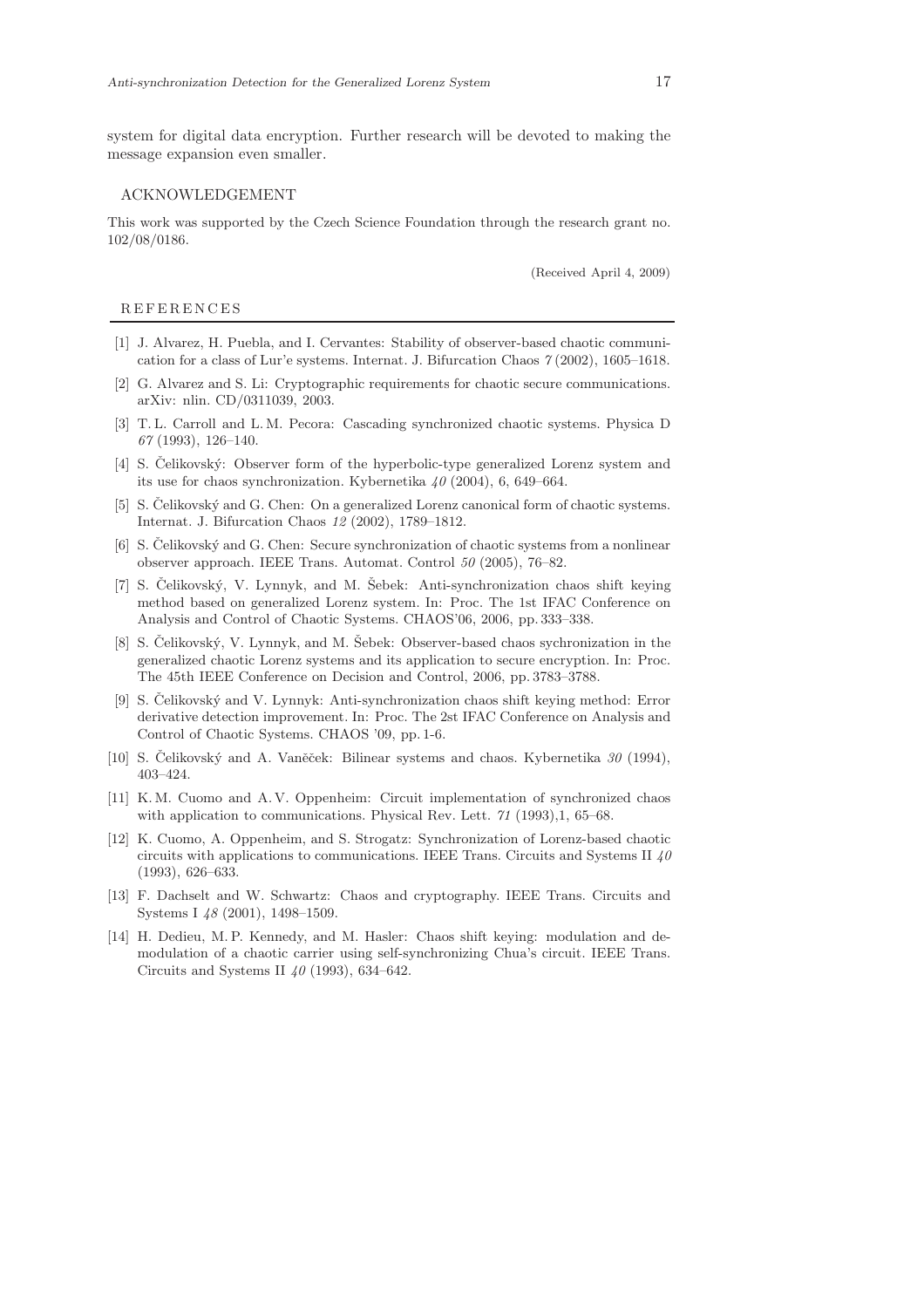system for digital data encryption. Further research will be devoted to making the message expansion even smaller.

#### ACKNOWLEDGEMENT

This work was supported by the Czech Science Foundation through the research grant no. 102/08/0186.

(Received April 4, 2009)

#### R E F E R E N C E S

- <span id="page-16-4"></span>[1] J. Alvarez, H. Puebla, and I. Cervantes: Stability of observer-based chaotic communication for a class of Lur'e systems. Internat. J. Bifurcation Chaos 7 (2002), 1605–1618.
- <span id="page-16-2"></span>[2] G. Alvarez and S. Li: Cryptographic requirements for chaotic secure communications. arXiv: nlin. CD/0311039, 2003.
- <span id="page-16-0"></span>[3] T. L. Carroll and L. M. Pecora: Cascading synchronized chaotic systems. Physica D 67 (1993), 126–140.
- <span id="page-16-13"></span>[4] S. Celikovský: Observer form of the hyperbolic-type generalized Lorenz system and its use for chaos synchronization. Kybernetika  $40$  (2004), 6, 649–664.
- <span id="page-16-12"></span>[5] S. Čelikovský and G. Chen: On a generalized Lorenz canonical form of chaotic systems. Internat. J. Bifurcation Chaos 12 (2002), 1789–1812.
- <span id="page-16-10"></span>[6] S. Čelikovský and G. Chen: Secure synchronization of chaotic systems from a nonlinear observer approach. IEEE Trans. Automat. Control 50 (2005), 76–82.
- <span id="page-16-7"></span>[7] S. Čelikovský, V. Lynnyk, and M. Šebek: Anti-synchronization chaos shift keying method based on generalized Lorenz system. In: Proc. The 1st IFAC Conference on Analysis and Control of Chaotic Systems. CHAOS'06, 2006, pp. 333–338.
- <span id="page-16-8"></span>[8] S. Čelikovský, V. Lynnyk, and M. Šebek: Observer-based chaos sychronization in the generalized chaotic Lorenz systems and its application to secure encryption. In: Proc. The 45th IEEE Conference on Decision and Control, 2006, pp. 3783–3788.
- <span id="page-16-9"></span>[9] S. Celikovský and V. Lynnyk: Anti-synchronization chaos shift keying method: Error derivative detection improvement. In: Proc. The 2st IFAC Conference on Analysis and Control of Chaotic Systems. CHAOS '09, pp. 1-6.
- <span id="page-16-11"></span>[10] S. Čelikovský and A. Vaněček: Bilinear systems and chaos. Kybernetika  $30$  (1994), 403–424.
- <span id="page-16-1"></span>[11] K. M. Cuomo and A. V. Oppenheim: Circuit implementation of synchronized chaos with application to communications. Physical Rev. Lett. 71 (1993), 1, 65–68.
- <span id="page-16-6"></span>[12] K. Cuomo, A. Oppenheim, and S. Strogatz: Synchronization of Lorenz-based chaotic circuits with applications to communications. IEEE Trans. Circuits and Systems II  $40$ (1993), 626–633.
- <span id="page-16-5"></span><span id="page-16-3"></span>[13] F. Dachselt and W. Schwartz: Chaos and cryptography. IEEE Trans. Circuits and Systems I 48 (2001), 1498–1509.
- [14] H. Dedieu, M. P. Kennedy, and M. Hasler: Chaos shift keying: modulation and demodulation of a chaotic carrier using self-synchronizing Chua's circuit. IEEE Trans. Circuits and Systems II  $40$  (1993), 634–642.